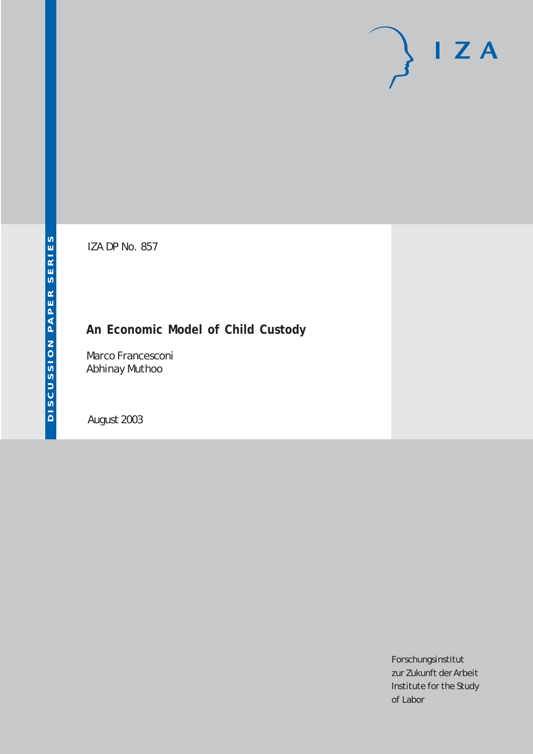# $I Z A$

IZA DP No. 857

## **An Economic Model of Child Custody**

Marco Francesconi Abhinay Muthoo

August 2003

Forschungsinstitut zur Zukunft der Arbeit Institute for the Study of Labor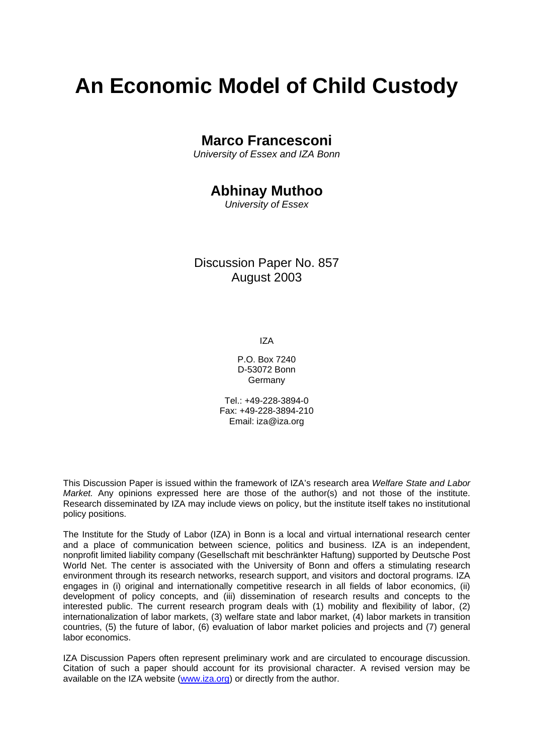# **An Economic Model of Child Custody**

### **Marco Francesconi**

*University of Essex and IZA Bonn* 

## **Abhinay Muthoo**

*University of Essex* 

Discussion Paper No. 857 August 2003

IZA

P.O. Box 7240 D-53072 Bonn **Germany** 

Tel.: +49-228-3894-0 Fax: +49-228-3894-210 Email: [iza@iza.org](mailto:iza@iza.org)

This Discussion Paper is issued within the framework of IZA's research area *Welfare State and Labor Market.* Any opinions expressed here are those of the author(s) and not those of the institute. Research disseminated by IZA may include views on policy, but the institute itself takes no institutional policy positions.

The Institute for the Study of Labor (IZA) in Bonn is a local and virtual international research center and a place of communication between science, politics and business. IZA is an independent, nonprofit limited liability company (Gesellschaft mit beschränkter Haftung) supported by Deutsche Post World Net. The center is associated with the University of Bonn and offers a stimulating research environment through its research networks, research support, and visitors and doctoral programs. IZA engages in (i) original and internationally competitive research in all fields of labor economics, (ii) development of policy concepts, and (iii) dissemination of research results and concepts to the interested public. The current research program deals with (1) mobility and flexibility of labor, (2) internationalization of labor markets, (3) welfare state and labor market, (4) labor markets in transition countries, (5) the future of labor, (6) evaluation of labor market policies and projects and (7) general labor economics.

IZA Discussion Papers often represent preliminary work and are circulated to encourage discussion. Citation of such a paper should account for its provisional character. A revised version may be available on the IZA website ([www.iza.org](http://www.iza.org/)) or directly from the author.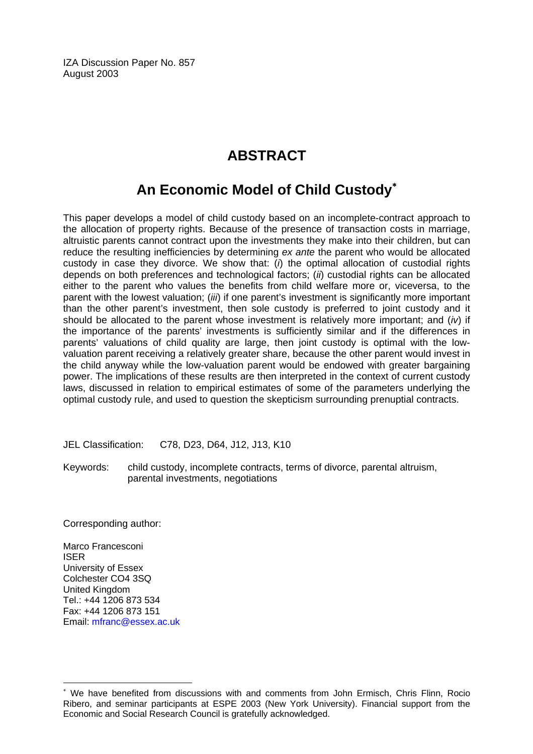IZA Discussion Paper No. 857 August 2003

## **ABSTRACT**

## **An Economic Model of Child Custody**[∗](#page-2-0)

This paper develops a model of child custody based on an incomplete-contract approach to the allocation of property rights. Because of the presence of transaction costs in marriage, altruistic parents cannot contract upon the investments they make into their children, but can reduce the resulting inefficiencies by determining *ex ante* the parent who would be allocated custody in case they divorce. We show that: (*i*) the optimal allocation of custodial rights depends on both preferences and technological factors; (*ii*) custodial rights can be allocated either to the parent who values the benefits from child welfare more or, viceversa, to the parent with the lowest valuation; (*iii*) if one parent's investment is significantly more important than the other parent's investment, then sole custody is preferred to joint custody and it should be allocated to the parent whose investment is relatively more important; and (*iv*) if the importance of the parents' investments is sufficiently similar and if the differences in parents' valuations of child quality are large, then joint custody is optimal with the lowvaluation parent receiving a relatively greater share, because the other parent would invest in the child anyway while the low-valuation parent would be endowed with greater bargaining power. The implications of these results are then interpreted in the context of current custody laws, discussed in relation to empirical estimates of some of the parameters underlying the optimal custody rule, and used to question the skepticism surrounding prenuptial contracts.

JEL Classification: C78, D23, D64, J12, J13, K10

Keywords: child custody, incomplete contracts, terms of divorce, parental altruism, parental investments, negotiations

Corresponding author:

Marco Francesconi ISER University of Essex Colchester CO4 3SQ United Kingdom Tel.: +44 1206 873 534 Fax: +44 1206 873 151 Email: [mfranc@essex.ac.uk](mailto:mfranc@essex.ac.uk)

 $\overline{a}$ 

<span id="page-2-0"></span><sup>∗</sup> We have benefited from discussions with and comments from John Ermisch, Chris Flinn, Rocio Ribero, and seminar participants at ESPE 2003 (New York University). Financial support from the Economic and Social Research Council is gratefully acknowledged.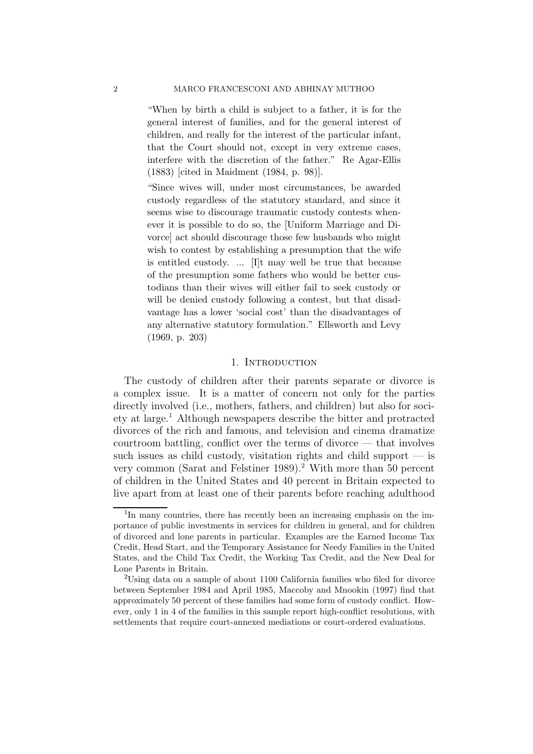"When by birth a child is subject to a father, it is for the general interest of families, and for the general interest of children, and really for the interest of the particular infant, that the Court should not, except in very extreme cases, interfere with the discretion of the father." Re Agar-Ellis (1883) [cited in Maidment (1984, p. 98)].

"Since wives will, under most circumstances, be awarded custody regardless of the statutory standard, and since it seems wise to discourage traumatic custody contests whenever it is possible to do so, the [Uniform Marriage and Divorce] act should discourage those few husbands who might wish to contest by establishing a presumption that the wife is entitled custody. ... [I]t may well be true that because of the presumption some fathers who would be better custodians than their wives will either fail to seek custody or will be denied custody following a contest, but that disadvantage has a lower 'social cost' than the disadvantages of any alternative statutory formulation." Ellsworth and Levy (1969, p. 203)

#### 1. INTRODUCTION

The custody of children after their parents separate or divorce is a complex issue. It is a matter of concern not only for the parties directly involved (i.e., mothers, fathers, and children) but also for society at large.<sup>1</sup> Although newspapers describe the bitter and protracted divorces of the rich and famous, and television and cinema dramatize courtroom battling, conflict over the terms of divorce — that involves such issues as child custody, visitation rights and child support — is very common (Sarat and Felstiner 1989).<sup>2</sup> With more than 50 percent of children in the United States and 40 percent in Britain expected to live apart from at least one of their parents before reaching adulthood

<sup>&</sup>lt;sup>1</sup>In many countries, there has recently been an increasing emphasis on the importance of public investments in services for children in general, and for children of divorced and lone parents in particular. Examples are the Earned Income Tax Credit, Head Start, and the Temporary Assistance for Needy Families in the United States, and the Child Tax Credit, the Working Tax Credit, and the New Deal for Lone Parents in Britain.

<sup>2</sup>Using data on a sample of about 1100 California families who filed for divorce between September 1984 and April 1985, Maccoby and Mnookin (1997) find that approximately 50 percent of these families had some form of custody conflict. However, only 1 in 4 of the families in this sample report high-conflict resolutions, with settlements that require court-annexed mediations or court-ordered evaluations.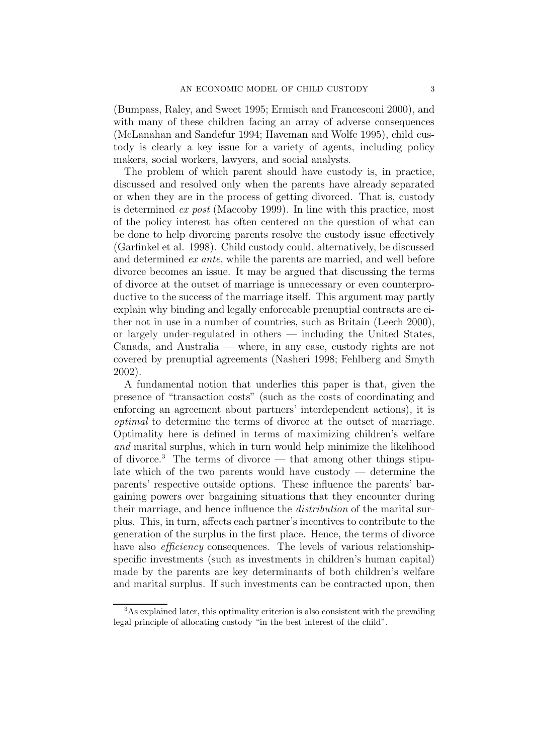(Bumpass, Raley, and Sweet 1995; Ermisch and Francesconi 2000), and with many of these children facing an array of adverse consequences (McLanahan and Sandefur 1994; Haveman and Wolfe 1995), child custody is clearly a key issue for a variety of agents, including policy makers, social workers, lawyers, and social analysts.

The problem of which parent should have custody is, in practice, discussed and resolved only when the parents have already separated or when they are in the process of getting divorced. That is, custody is determined ex post (Maccoby 1999). In line with this practice, most of the policy interest has often centered on the question of what can be done to help divorcing parents resolve the custody issue effectively (Garfinkel et al. 1998). Child custody could, alternatively, be discussed and determined ex ante, while the parents are married, and well before divorce becomes an issue. It may be argued that discussing the terms of divorce at the outset of marriage is unnecessary or even counterproductive to the success of the marriage itself. This argument may partly explain why binding and legally enforceable prenuptial contracts are either not in use in a number of countries, such as Britain (Leech 2000), or largely under-regulated in others — including the United States, Canada, and Australia — where, in any case, custody rights are not covered by prenuptial agreements (Nasheri 1998; Fehlberg and Smyth 2002).

A fundamental notion that underlies this paper is that, given the presence of "transaction costs" (such as the costs of coordinating and enforcing an agreement about partners' interdependent actions), it is optimal to determine the terms of divorce at the outset of marriage. Optimality here is defined in terms of maximizing children's welfare and marital surplus, which in turn would help minimize the likelihood of divorce.<sup>3</sup> The terms of divorce — that among other things stipulate which of the two parents would have custody  $-$  determine the parents' respective outside options. These influence the parents' bargaining powers over bargaining situations that they encounter during their marriage, and hence influence the distribution of the marital surplus. This, in turn, affects each partner's incentives to contribute to the generation of the surplus in the first place. Hence, the terms of divorce have also *efficiency* consequences. The levels of various relationshipspecific investments (such as investments in children's human capital) made by the parents are key determinants of both children's welfare and marital surplus. If such investments can be contracted upon, then

<sup>3</sup>As explained later, this optimality criterion is also consistent with the prevailing legal principle of allocating custody "in the best interest of the child".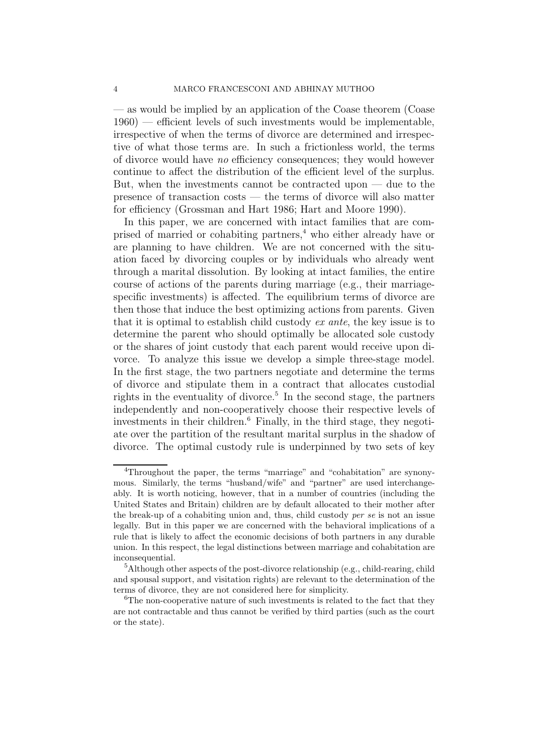— as would be implied by an application of the Coase theorem (Coase  $1960$ ) — efficient levels of such investments would be implementable, irrespective of when the terms of divorce are determined and irrespective of what those terms are. In such a frictionless world, the terms of divorce would have no efficiency consequences; they would however continue to affect the distribution of the efficient level of the surplus. But, when the investments cannot be contracted upon  $-$  due to the presence of transaction costs — the terms of divorce will also matter for efficiency (Grossman and Hart 1986; Hart and Moore 1990).

In this paper, we are concerned with intact families that are comprised of married or cohabiting partners,<sup>4</sup> who either already have or are planning to have children. We are not concerned with the situation faced by divorcing couples or by individuals who already went through a marital dissolution. By looking at intact families, the entire course of actions of the parents during marriage (e.g., their marriagespecific investments) is affected. The equilibrium terms of divorce are then those that induce the best optimizing actions from parents. Given that it is optimal to establish child custody ex ante, the key issue is to determine the parent who should optimally be allocated sole custody or the shares of joint custody that each parent would receive upon divorce. To analyze this issue we develop a simple three-stage model. In the first stage, the two partners negotiate and determine the terms of divorce and stipulate them in a contract that allocates custodial rights in the eventuality of divorce.<sup>5</sup> In the second stage, the partners independently and non-cooperatively choose their respective levels of investments in their children.<sup>6</sup> Finally, in the third stage, they negotiate over the partition of the resultant marital surplus in the shadow of divorce. The optimal custody rule is underpinned by two sets of key

<sup>4</sup>Throughout the paper, the terms "marriage" and "cohabitation" are synonymous. Similarly, the terms "husband/wife" and "partner" are used interchangeably. It is worth noticing, however, that in a number of countries (including the United States and Britain) children are by default allocated to their mother after the break-up of a cohabiting union and, thus, child custody *per se* is not an issue legally. But in this paper we are concerned with the behavioral implications of a rule that is likely to affect the economic decisions of both partners in any durable union. In this respect, the legal distinctions between marriage and cohabitation are inconsequential.

<sup>5</sup>Although other aspects of the post-divorce relationship (e.g., child-rearing, child and spousal support, and visitation rights) are relevant to the determination of the terms of divorce, they are not considered here for simplicity.

<sup>&</sup>lt;sup>6</sup>The non-cooperative nature of such investments is related to the fact that they are not contractable and thus cannot be verified by third parties (such as the court or the state).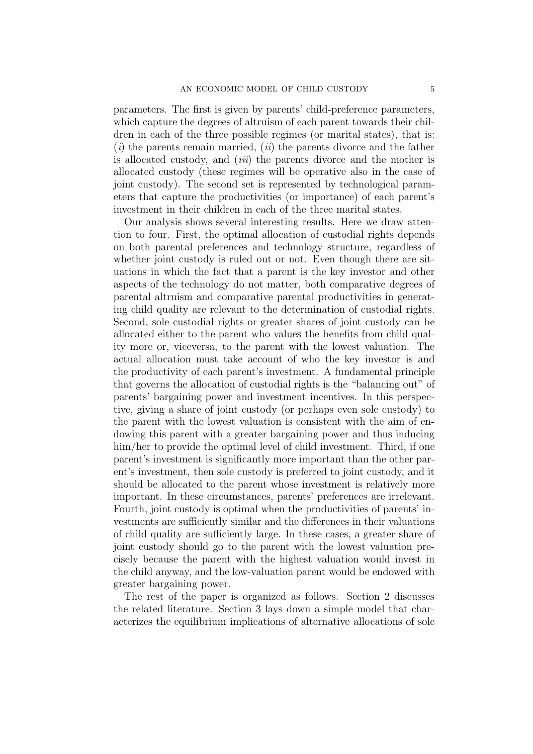parameters. The first is given by parents' child-preference parameters, which capture the degrees of altruism of each parent towards their children in each of the three possible regimes (or marital states), that is:  $(i)$  the parents remain married,  $(ii)$  the parents divorce and the father is allocated custody, and *(iii)* the parents divorce and the mother is allocated custody (these regimes will be operative also in the case of joint custody). The second set is represented by technological parameters that capture the productivities (or importance) of each parent's investment in their children in each of the three marital states.

Our analysis shows several interesting results. Here we draw attention to four. First, the optimal allocation of custodial rights depends on both parental preferences and technology structure, regardless of whether joint custody is ruled out or not. Even though there are situations in which the fact that a parent is the key investor and other aspects of the technology do not matter, both comparative degrees of parental altruism and comparative parental productivities in generating child quality are relevant to the determination of custodial rights. Second, sole custodial rights or greater shares of joint custody can be allocated either to the parent who values the benefits from child quality more or, viceversa, to the parent with the lowest valuation. The actual allocation must take account of who the key investor is and the productivity of each parent's investment. A fundamental principle that governs the allocation of custodial rights is the "balancing out" of parents' bargaining power and investment incentives. In this perspective, giving a share of joint custody (or perhaps even sole custody) to the parent with the lowest valuation is consistent with the aim of endowing this parent with a greater bargaining power and thus inducing him/her to provide the optimal level of child investment. Third, if one parent's investment is significantly more important than the other parent's investment, then sole custody is preferred to joint custody, and it should be allocated to the parent whose investment is relatively more important. In these circumstances, parents' preferences are irrelevant. Fourth, joint custody is optimal when the productivities of parents' investments are sufficiently similar and the differences in their valuations of child quality are sufficiently large. In these cases, a greater share of joint custody should go to the parent with the lowest valuation precisely because the parent with the highest valuation would invest in the child anyway, and the low-valuation parent would be endowed with greater bargaining power.

The rest of the paper is organized as follows. Section 2 discusses the related literature. Section 3 lays down a simple model that characterizes the equilibrium implications of alternative allocations of sole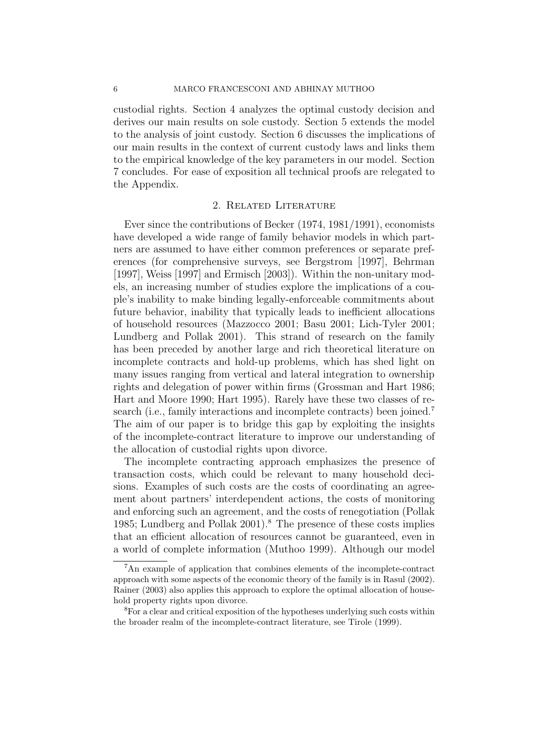custodial rights. Section 4 analyzes the optimal custody decision and derives our main results on sole custody. Section 5 extends the model to the analysis of joint custody. Section 6 discusses the implications of our main results in the context of current custody laws and links them to the empirical knowledge of the key parameters in our model. Section 7 concludes. For ease of exposition all technical proofs are relegated to the Appendix.

#### 2. Related Literature

Ever since the contributions of Becker (1974, 1981/1991), economists have developed a wide range of family behavior models in which partners are assumed to have either common preferences or separate preferences (for comprehensive surveys, see Bergstrom [1997], Behrman [1997], Weiss [1997] and Ermisch [2003]). Within the non-unitary models, an increasing number of studies explore the implications of a couple's inability to make binding legally-enforceable commitments about future behavior, inability that typically leads to inefficient allocations of household resources (Mazzocco 2001; Basu 2001; Lich-Tyler 2001; Lundberg and Pollak 2001). This strand of research on the family has been preceded by another large and rich theoretical literature on incomplete contracts and hold-up problems, which has shed light on many issues ranging from vertical and lateral integration to ownership rights and delegation of power within firms (Grossman and Hart 1986; Hart and Moore 1990; Hart 1995). Rarely have these two classes of research (i.e., family interactions and incomplete contracts) been joined.<sup>7</sup> The aim of our paper is to bridge this gap by exploiting the insights of the incomplete-contract literature to improve our understanding of the allocation of custodial rights upon divorce.

The incomplete contracting approach emphasizes the presence of transaction costs, which could be relevant to many household decisions. Examples of such costs are the costs of coordinating an agreement about partners' interdependent actions, the costs of monitoring and enforcing such an agreement, and the costs of renegotiation (Pollak 1985; Lundberg and Pollak 2001).<sup>8</sup> The presence of these costs implies that an efficient allocation of resources cannot be guaranteed, even in a world of complete information (Muthoo 1999). Although our model

<sup>7</sup>An example of application that combines elements of the incomplete-contract approach with some aspects of the economic theory of the family is in Rasul (2002). Rainer (2003) also applies this approach to explore the optimal allocation of household property rights upon divorce.

<sup>8</sup>For a clear and critical exposition of the hypotheses underlying such costs within the broader realm of the incomplete-contract literature, see Tirole (1999).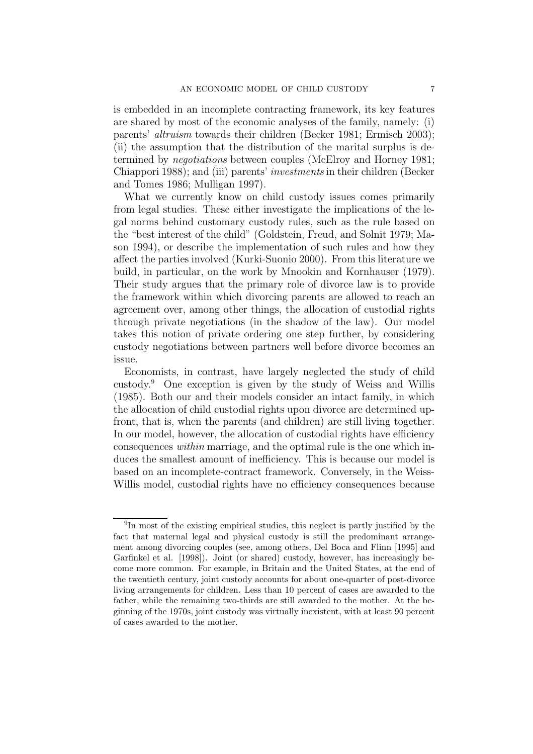is embedded in an incomplete contracting framework, its key features are shared by most of the economic analyses of the family, namely: (i) parents' altruism towards their children (Becker 1981; Ermisch 2003); (ii) the assumption that the distribution of the marital surplus is determined by negotiations between couples (McElroy and Horney 1981; Chiappori 1988); and (iii) parents' investments in their children (Becker and Tomes 1986; Mulligan 1997).

What we currently know on child custody issues comes primarily from legal studies. These either investigate the implications of the legal norms behind customary custody rules, such as the rule based on the "best interest of the child" (Goldstein, Freud, and Solnit 1979; Mason 1994), or describe the implementation of such rules and how they affect the parties involved (Kurki-Suonio 2000). From this literature we build, in particular, on the work by Mnookin and Kornhauser (1979). Their study argues that the primary role of divorce law is to provide the framework within which divorcing parents are allowed to reach an agreement over, among other things, the allocation of custodial rights through private negotiations (in the shadow of the law). Our model takes this notion of private ordering one step further, by considering custody negotiations between partners well before divorce becomes an issue.

Economists, in contrast, have largely neglected the study of child custody.<sup>9</sup> One exception is given by the study of Weiss and Willis (1985). Both our and their models consider an intact family, in which the allocation of child custodial rights upon divorce are determined upfront, that is, when the parents (and children) are still living together. In our model, however, the allocation of custodial rights have efficiency consequences within marriage, and the optimal rule is the one which induces the smallest amount of inefficiency. This is because our model is based on an incomplete-contract framework. Conversely, in the Weiss-Willis model, custodial rights have no efficiency consequences because

<sup>9</sup>In most of the existing empirical studies, this neglect is partly justified by the fact that maternal legal and physical custody is still the predominant arrangement among divorcing couples (see, among others, Del Boca and Flinn [1995] and Garfinkel et al. [1998]). Joint (or shared) custody, however, has increasingly become more common. For example, in Britain and the United States, at the end of the twentieth century, joint custody accounts for about one-quarter of post-divorce living arrangements for children. Less than 10 percent of cases are awarded to the father, while the remaining two-thirds are still awarded to the mother. At the beginning of the 1970s, joint custody was virtually inexistent, with at least 90 percent of cases awarded to the mother.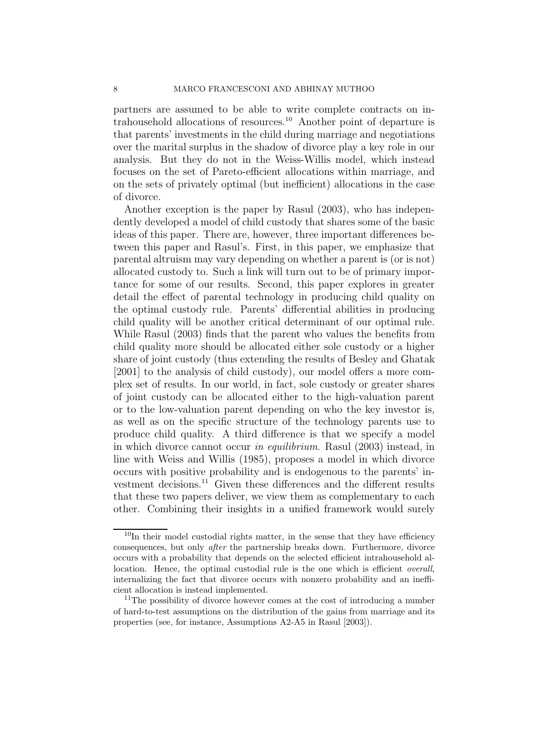partners are assumed to be able to write complete contracts on intrahousehold allocations of resources.<sup>10</sup> Another point of departure is that parents' investments in the child during marriage and negotiations over the marital surplus in the shadow of divorce play a key role in our analysis. But they do not in the Weiss-Willis model, which instead focuses on the set of Pareto-efficient allocations within marriage, and on the sets of privately optimal (but inefficient) allocations in the case of divorce.

Another exception is the paper by Rasul (2003), who has independently developed a model of child custody that shares some of the basic ideas of this paper. There are, however, three important differences between this paper and Rasul's. First, in this paper, we emphasize that parental altruism may vary depending on whether a parent is (or is not) allocated custody to. Such a link will turn out to be of primary importance for some of our results. Second, this paper explores in greater detail the effect of parental technology in producing child quality on the optimal custody rule. Parents' differential abilities in producing child quality will be another critical determinant of our optimal rule. While Rasul (2003) finds that the parent who values the benefits from child quality more should be allocated either sole custody or a higher share of joint custody (thus extending the results of Besley and Ghatak [2001] to the analysis of child custody), our model offers a more complex set of results. In our world, in fact, sole custody or greater shares of joint custody can be allocated either to the high-valuation parent or to the low-valuation parent depending on who the key investor is, as well as on the specific structure of the technology parents use to produce child quality. A third difference is that we specify a model in which divorce cannot occur in equilibrium. Rasul (2003) instead, in line with Weiss and Willis (1985), proposes a model in which divorce occurs with positive probability and is endogenous to the parents' investment decisions.<sup>11</sup> Given these differences and the different results that these two papers deliver, we view them as complementary to each other. Combining their insights in a unified framework would surely

 $10$ In their model custodial rights matter, in the sense that they have efficiency consequences, but only *after* the partnership breaks down. Furthermore, divorce occurs with a probability that depends on the selected efficient intrahousehold allocation. Hence, the optimal custodial rule is the one which is efficient *overall*, internalizing the fact that divorce occurs with nonzero probability and an inefficient allocation is instead implemented.

<sup>&</sup>lt;sup>11</sup>The possibility of divorce however comes at the cost of introducing a number of hard-to-test assumptions on the distribution of the gains from marriage and its properties (see, for instance, Assumptions A2-A5 in Rasul [2003]).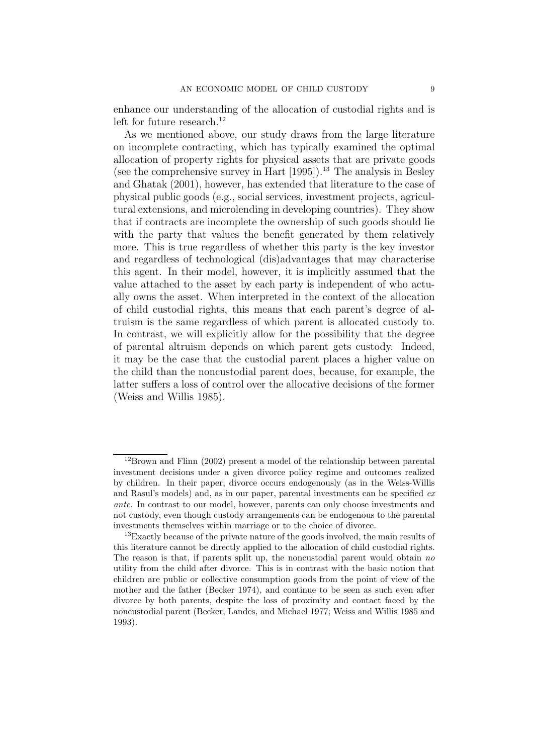enhance our understanding of the allocation of custodial rights and is left for future research.<sup>12</sup>

As we mentioned above, our study draws from the large literature on incomplete contracting, which has typically examined the optimal allocation of property rights for physical assets that are private goods (see the comprehensive survey in Hart  $[1995]$ ).<sup>13</sup> The analysis in Besley and Ghatak (2001), however, has extended that literature to the case of physical public goods (e.g., social services, investment projects, agricultural extensions, and microlending in developing countries). They show that if contracts are incomplete the ownership of such goods should lie with the party that values the benefit generated by them relatively more. This is true regardless of whether this party is the key investor and regardless of technological (dis)advantages that may characterise this agent. In their model, however, it is implicitly assumed that the value attached to the asset by each party is independent of who actually owns the asset. When interpreted in the context of the allocation of child custodial rights, this means that each parent's degree of altruism is the same regardless of which parent is allocated custody to. In contrast, we will explicitly allow for the possibility that the degree of parental altruism depends on which parent gets custody. Indeed, it may be the case that the custodial parent places a higher value on the child than the noncustodial parent does, because, for example, the latter suffers a loss of control over the allocative decisions of the former (Weiss and Willis 1985).

<sup>12</sup>Brown and Flinn (2002) present a model of the relationship between parental investment decisions under a given divorce policy regime and outcomes realized by children. In their paper, divorce occurs endogenously (as in the Weiss-Willis and Rasul's models) and, as in our paper, parental investments can be specified *ex ante*. In contrast to our model, however, parents can only choose investments and not custody, even though custody arrangements can be endogenous to the parental investments themselves within marriage or to the choice of divorce.

 $13$ Exactly because of the private nature of the goods involved, the main results of this literature cannot be directly applied to the allocation of child custodial rights. The reason is that, if parents split up, the noncustodial parent would obtain *no* utility from the child after divorce. This is in contrast with the basic notion that children are public or collective consumption goods from the point of view of the mother and the father (Becker 1974), and continue to be seen as such even after divorce by both parents, despite the loss of proximity and contact faced by the noncustodial parent (Becker, Landes, and Michael 1977; Weiss and Willis 1985 and 1993).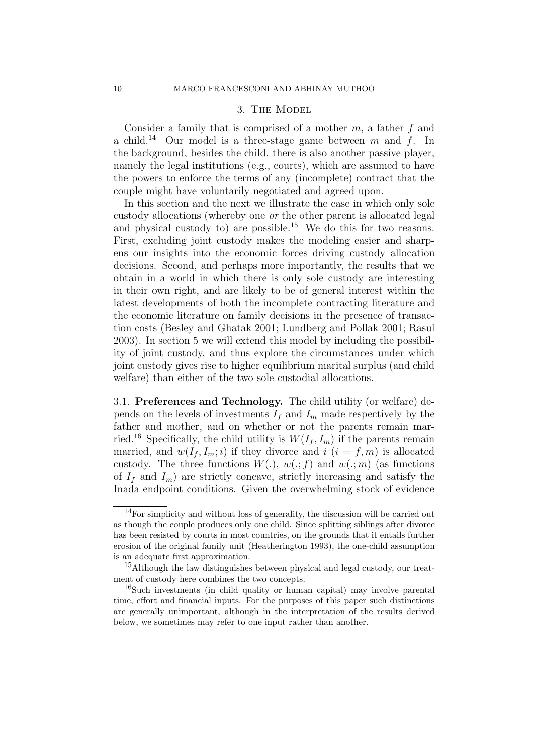#### 3. The Model

Consider a family that is comprised of a mother  $m$ , a father  $f$  and a child.<sup>14</sup> Our model is a three-stage game between m and f. In the background, besides the child, there is also another passive player, namely the legal institutions (e.g., courts), which are assumed to have the powers to enforce the terms of any (incomplete) contract that the couple might have voluntarily negotiated and agreed upon.

In this section and the next we illustrate the case in which only sole custody allocations (whereby one or the other parent is allocated legal and physical custody to) are possible.<sup>15</sup> We do this for two reasons. First, excluding joint custody makes the modeling easier and sharpens our insights into the economic forces driving custody allocation decisions. Second, and perhaps more importantly, the results that we obtain in a world in which there is only sole custody are interesting in their own right, and are likely to be of general interest within the latest developments of both the incomplete contracting literature and the economic literature on family decisions in the presence of transaction costs (Besley and Ghatak 2001; Lundberg and Pollak 2001; Rasul 2003). In section 5 we will extend this model by including the possibility of joint custody, and thus explore the circumstances under which joint custody gives rise to higher equilibrium marital surplus (and child welfare) than either of the two sole custodial allocations.

3.1. **Preferences and Technology.** The child utility (or welfare) depends on the levels of investments  $I_f$  and  $I_m$  made respectively by the father and mother, and on whether or not the parents remain married.<sup>16</sup> Specifically, the child utility is  $W(I_f, I_m)$  if the parents remain married, and  $w(I_f, I_m; i)$  if they divorce and  $i$   $(i = f, m)$  is allocated custody. The three functions  $W(.)$ ,  $w(.; f)$  and  $w(.; m)$  (as functions of  $I_f$  and  $I_m$ ) are strictly concave, strictly increasing and satisfy the Inada endpoint conditions. Given the overwhelming stock of evidence

<sup>&</sup>lt;sup>14</sup>For simplicity and without loss of generality, the discussion will be carried out as though the couple produces only one child. Since splitting siblings after divorce has been resisted by courts in most countries, on the grounds that it entails further erosion of the original family unit (Heatherington 1993), the one-child assumption is an adequate first approximation.

 $15$ Although the law distinguishes between physical and legal custody, our treatment of custody here combines the two concepts.

<sup>16</sup>Such investments (in child quality or human capital) may involve parental time, effort and financial inputs. For the purposes of this paper such distinctions are generally unimportant, although in the interpretation of the results derived below, we sometimes may refer to one input rather than another.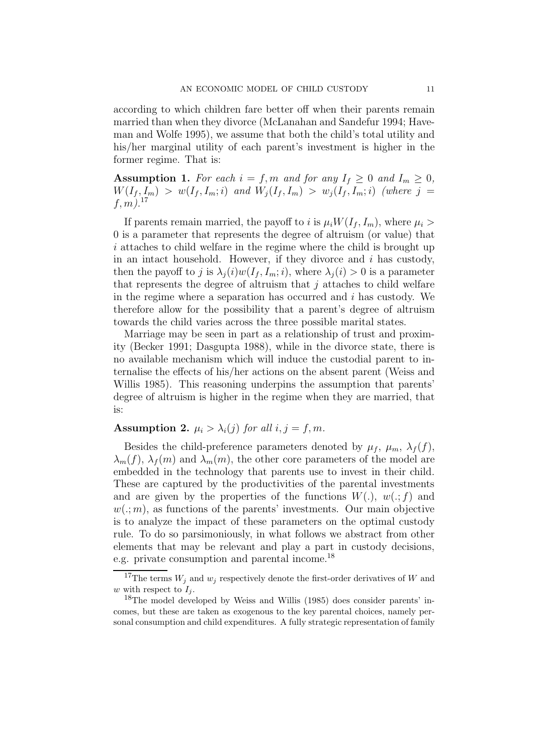according to which children fare better off when their parents remain married than when they divorce (McLanahan and Sandefur 1994; Haveman and Wolfe 1995), we assume that both the child's total utility and his/her marginal utility of each parent's investment is higher in the former regime. That is:

**Assumption 1.** For each  $i = f, m$  and for any  $I_f \geq 0$  and  $I_m \geq 0$ ,  $W(I_f, I_m) > w(I_f, I_m; i)$  and  $W_i(I_f, I_m) > w_i(I_f, I_m; i)$  (where j =  $f, m$ ).<sup>17</sup>

If parents remain married, the payoff to i is  $\mu_i W(I_f, I_m)$ , where  $\mu_i >$ 0 is a parameter that represents the degree of altruism (or value) that i attaches to child welfare in the regime where the child is brought up in an intact household. However, if they divorce and  $i$  has custody, then the payoff to j is  $\lambda_i(i)w(I_f, I_m; i)$ , where  $\lambda_i(i) > 0$  is a parameter that represents the degree of altruism that  $j$  attaches to child welfare in the regime where a separation has occurred and  $i$  has custody. We therefore allow for the possibility that a parent's degree of altruism towards the child varies across the three possible marital states.

Marriage may be seen in part as a relationship of trust and proximity (Becker 1991; Dasgupta 1988), while in the divorce state, there is no available mechanism which will induce the custodial parent to internalise the effects of his/her actions on the absent parent (Weiss and Willis 1985). This reasoning underpins the assumption that parents' degree of altruism is higher in the regime when they are married, that is:

#### **Assumption 2.**  $\mu_i > \lambda_i(j)$  for all  $i, j = f, m$ .

Besides the child-preference parameters denoted by  $\mu_f$ ,  $\mu_m$ ,  $\lambda_f(f)$ ,  $\lambda_m(f)$ ,  $\lambda_f(m)$  and  $\lambda_m(m)$ , the other core parameters of the model are embedded in the technology that parents use to invest in their child. These are captured by the productivities of the parental investments and are given by the properties of the functions  $W(.)$ ,  $w(.; f)$  and  $w(.; m)$ , as functions of the parents' investments. Our main objective is to analyze the impact of these parameters on the optimal custody rule. To do so parsimoniously, in what follows we abstract from other elements that may be relevant and play a part in custody decisions, e.g. private consumption and parental income.<sup>18</sup>

<sup>&</sup>lt;sup>17</sup>The terms  $W_j$  and  $w_j$  respectively denote the first-order derivatives of W and w with respect to  $I_j$ .

<sup>&</sup>lt;sup>18</sup>The model developed by Weiss and Willis (1985) does consider parents' incomes, but these are taken as exogenous to the key parental choices, namely personal consumption and child expenditures. A fully strategic representation of family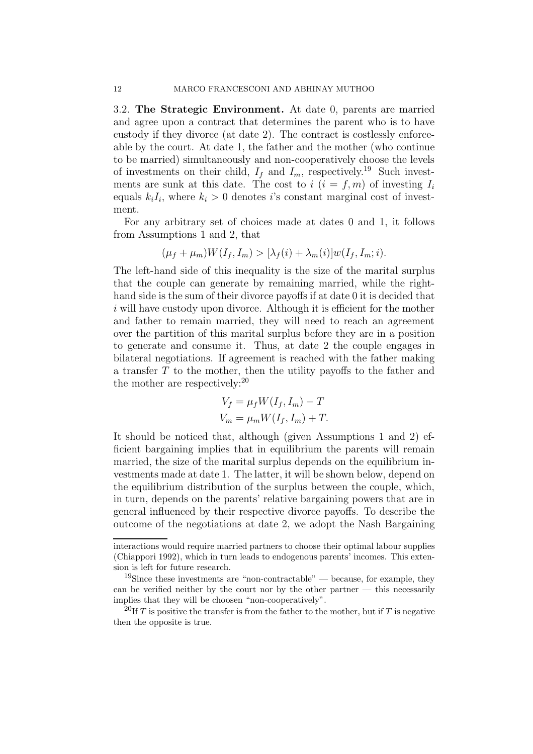3.2. **The Strategic Environment.** At date 0, parents are married and agree upon a contract that determines the parent who is to have custody if they divorce (at date 2). The contract is costlessly enforceable by the court. At date 1, the father and the mother (who continue to be married) simultaneously and non-cooperatively choose the levels of investments on their child,  $I_f$  and  $I_m$ , respectively.<sup>19</sup> Such investments are sunk at this date. The cost to  $i$  ( $i = f, m$ ) of investing  $I_i$ equals  $k_iI_i$ , where  $k_i > 0$  denotes is constant marginal cost of investment.

For any arbitrary set of choices made at dates 0 and 1, it follows from Assumptions 1 and 2, that

$$
(\mu_f + \mu_m)W(I_f, I_m) > [\lambda_f(i) + \lambda_m(i)]w(I_f, I_m; i).
$$

The left-hand side of this inequality is the size of the marital surplus that the couple can generate by remaining married, while the righthand side is the sum of their divorce payoffs if at date 0 it is decided that  $i$  will have custody upon divorce. Although it is efficient for the mother and father to remain married, they will need to reach an agreement over the partition of this marital surplus before they are in a position to generate and consume it. Thus, at date 2 the couple engages in bilateral negotiations. If agreement is reached with the father making a transfer T to the mother, then the utility payoffs to the father and the mother are respectively:<sup>20</sup>

$$
V_f = \mu_f W(I_f, I_m) - T
$$
  

$$
V_m = \mu_m W(I_f, I_m) + T.
$$

It should be noticed that, although (given Assumptions 1 and 2) efficient bargaining implies that in equilibrium the parents will remain married, the size of the marital surplus depends on the equilibrium investments made at date 1. The latter, it will be shown below, depend on the equilibrium distribution of the surplus between the couple, which, in turn, depends on the parents' relative bargaining powers that are in general influenced by their respective divorce payoffs. To describe the outcome of the negotiations at date 2, we adopt the Nash Bargaining

interactions would require married partners to choose their optimal labour supplies (Chiappori 1992), which in turn leads to endogenous parents' incomes. This extension is left for future research.

<sup>&</sup>lt;sup>19</sup>Since these investments are "non-contractable" — because, for example, they can be verified neither by the court nor by the other partner — this necessarily implies that they will be choosen "non-cooperatively".

<sup>&</sup>lt;sup>20</sup>If T is positive the transfer is from the father to the mother, but if T is negative then the opposite is true.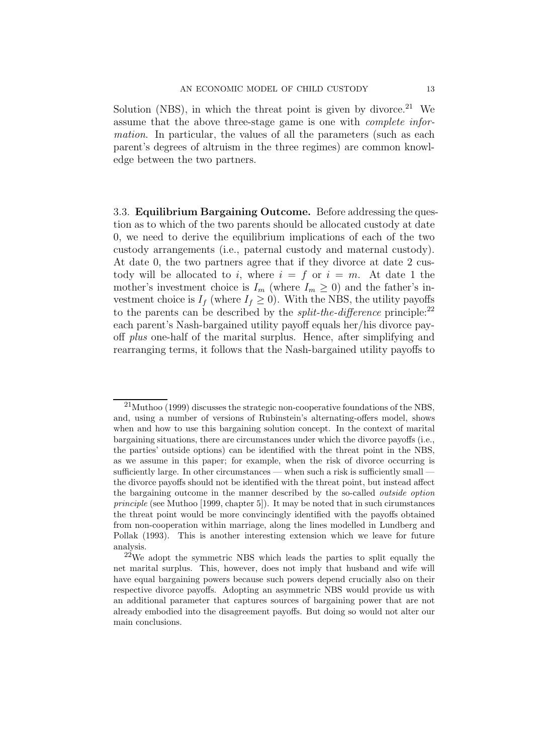Solution (NBS), in which the threat point is given by divorce.<sup>21</sup> We assume that the above three-stage game is one with complete information. In particular, the values of all the parameters (such as each parent's degrees of altruism in the three regimes) are common knowledge between the two partners.

3.3. **Equilibrium Bargaining Outcome.** Before addressing the question as to which of the two parents should be allocated custody at date 0, we need to derive the equilibrium implications of each of the two custody arrangements (i.e., paternal custody and maternal custody). At date 0, the two partners agree that if they divorce at date 2 custody will be allocated to i, where  $i = f$  or  $i = m$ . At date 1 the mother's investment choice is  $I_m$  (where  $I_m \geq 0$ ) and the father's investment choice is  $I_f$  (where  $I_f \geq 0$ ). With the NBS, the utility payoffs to the parents can be described by the *split-the-difference* principle:<sup>22</sup> each parent's Nash-bargained utility payoff equals her/his divorce payoff plus one-half of the marital surplus. Hence, after simplifying and rearranging terms, it follows that the Nash-bargained utility payoffs to

 $^{21}$ Muthoo (1999) discusses the strategic non-cooperative foundations of the NBS, and, using a number of versions of Rubinstein's alternating-offers model, shows when and how to use this bargaining solution concept. In the context of marital bargaining situations, there are circumstances under which the divorce payoffs (i.e., the parties' outside options) can be identified with the threat point in the NBS, as we assume in this paper; for example, when the risk of divorce occurring is sufficiently large. In other circumstances — when such a risk is sufficiently small – the divorce payoffs should not be identified with the threat point, but instead affect the bargaining outcome in the manner described by the so-called *outside option principle* (see Muthoo [1999, chapter 5]). It may be noted that in such cirumstances the threat point would be more convincingly identified with the payoffs obtained from non-cooperation within marriage, along the lines modelled in Lundberg and Pollak (1993). This is another interesting extension which we leave for future analysis.

 $22$ We adopt the symmetric NBS which leads the parties to split equally the net marital surplus. This, however, does not imply that husband and wife will have equal bargaining powers because such powers depend crucially also on their respective divorce payoffs. Adopting an asymmetric NBS would provide us with an additional parameter that captures sources of bargaining power that are not already embodied into the disagreement payoffs. But doing so would not alter our main conclusions.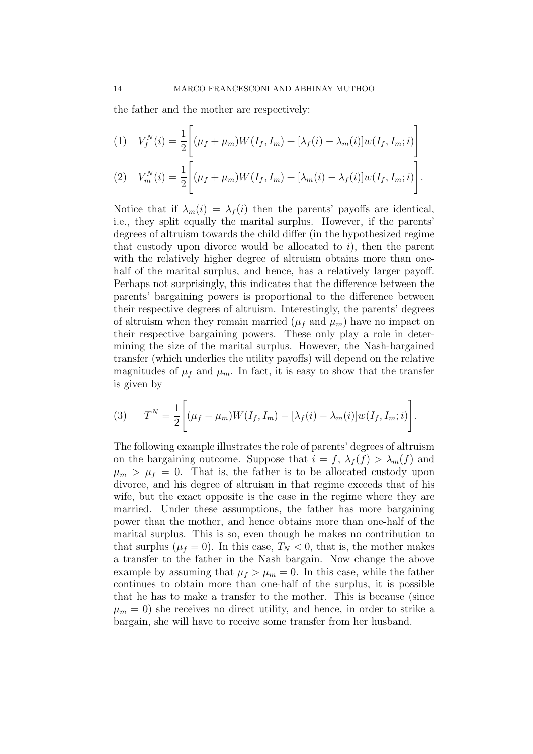the father and the mother are respectively:

(1) 
$$
V_f^N(i) = \frac{1}{2} \left[ (\mu_f + \mu_m) W(I_f, I_m) + [\lambda_f(i) - \lambda_m(i)] w(I_f, I_m; i) \right]
$$
  
(2) 
$$
V_m^N(i) = \frac{1}{2} \left[ (\mu_f + \mu_m) W(I_f, I_m) + [\lambda_m(i) - \lambda_f(i)] w(I_f, I_m; i) \right].
$$

Notice that if  $\lambda_m(i) = \lambda_f(i)$  then the parents' payoffs are identical, i.e., they split equally the marital surplus. However, if the parents' degrees of altruism towards the child differ (in the hypothesized regime that custody upon divorce would be allocated to  $i$ , then the parent with the relatively higher degree of altruism obtains more than onehalf of the marital surplus, and hence, has a relatively larger payoff. Perhaps not surprisingly, this indicates that the difference between the parents' bargaining powers is proportional to the difference between their respective degrees of altruism. Interestingly, the parents' degrees of altruism when they remain married  $(\mu_f$  and  $\mu_m)$  have no impact on their respective bargaining powers. These only play a role in determining the size of the marital surplus. However, the Nash-bargained transfer (which underlies the utility payoffs) will depend on the relative magnitudes of  $\mu_f$  and  $\mu_m$ . In fact, it is easy to show that the transfer is given by

(3) 
$$
T^{N} = \frac{1}{2} \left[ (\mu_{f} - \mu_{m}) W(I_{f}, I_{m}) - [\lambda_{f}(i) - \lambda_{m}(i)] w(I_{f}, I_{m}; i) \right].
$$

The following example illustrates the role of parents' degrees of altruism on the bargaining outcome. Suppose that  $i = f$ ,  $\lambda_f(f) > \lambda_m(f)$  and  $\mu_m > \mu_f = 0$ . That is, the father is to be allocated custody upon divorce, and his degree of altruism in that regime exceeds that of his wife, but the exact opposite is the case in the regime where they are married. Under these assumptions, the father has more bargaining power than the mother, and hence obtains more than one-half of the marital surplus. This is so, even though he makes no contribution to that surplus  $(\mu_f = 0)$ . In this case,  $T_N < 0$ , that is, the mother makes a transfer to the father in the Nash bargain. Now change the above example by assuming that  $\mu_f > \mu_m = 0$ . In this case, while the father continues to obtain more than one-half of the surplus, it is possible that he has to make a transfer to the mother. This is because (since  $\mu_m = 0$ ) she receives no direct utility, and hence, in order to strike a bargain, she will have to receive some transfer from her husband.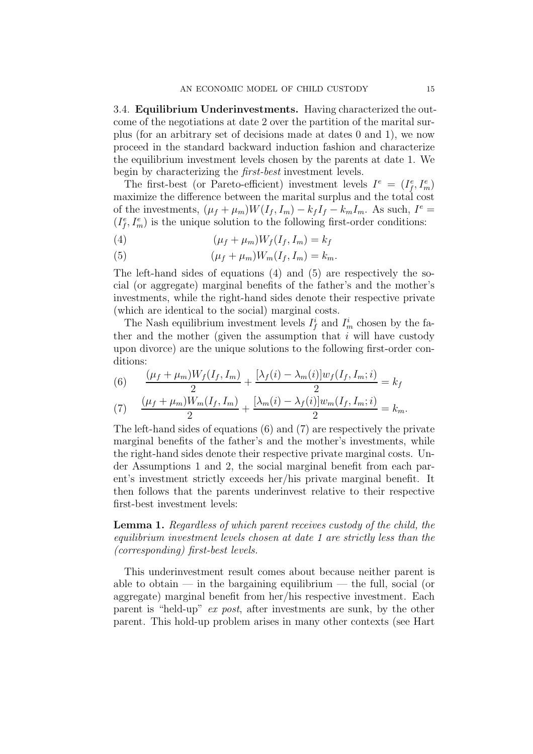3.4. **Equilibrium Underinvestments.** Having characterized the outcome of the negotiations at date 2 over the partition of the marital surplus (for an arbitrary set of decisions made at dates 0 and 1), we now proceed in the standard backward induction fashion and characterize the equilibrium investment levels chosen by the parents at date 1. We begin by characterizing the first-best investment levels.

The first-best (or Pareto-efficient) investment levels  $I^e = (I_f^e, I_m^e)$ maximize the difference between the marital surplus and the total cost of the investments,  $(\mu_f + \mu_m)W(I_f, I_m) - k_f I_f - k_m I_m$ . As such,  $I^e$  =  $(I_f^e, I_m^e)$  is the unique solution to the following first-order conditions:

- (4)  $(\mu_f + \mu_m)W_f(I_f, I_m) = k_f$
- (5)  $(\mu_f + \mu_m)W_m(I_f, I_m) = k_m.$

The left-hand sides of equations (4) and (5) are respectively the social (or aggregate) marginal benefits of the father's and the mother's investments, while the right-hand sides denote their respective private (which are identical to the social) marginal costs.

The Nash equilibrium investment levels  $I_f^i$  and  $I_m^i$  chosen by the father and the mother (given the assumption that  $i$  will have custody upon divorce) are the unique solutions to the following first-order conditions:

(6) 
$$
\frac{(\mu_f + \mu_m)W_f(I_f, I_m)}{2} + \frac{[\lambda_f(i) - \lambda_m(i)]w_f(I_f, I_m; i)}{2} = k_f
$$

(7) 
$$
\frac{(\mu_f + \mu_m)W_m(I_f, I_m)}{2} + \frac{[\lambda_m(i) - \lambda_f(i)]w_m(I_f, I_m; i)}{2} = k_m.
$$

The left-hand sides of equations (6) and (7) are respectively the private marginal benefits of the father's and the mother's investments, while the right-hand sides denote their respective private marginal costs. Under Assumptions 1 and 2, the social marginal benefit from each parent's investment strictly exceeds her/his private marginal benefit. It then follows that the parents underinvest relative to their respective first-best investment levels:

**Lemma 1.** Regardless of which parent receives custody of the child, the equilibrium investment levels chosen at date 1 are strictly less than the (corresponding) first-best levels.

This underinvestment result comes about because neither parent is able to obtain — in the bargaining equilibrium — the full, social (or aggregate) marginal benefit from her/his respective investment. Each parent is "held-up" ex post, after investments are sunk, by the other parent. This hold-up problem arises in many other contexts (see Hart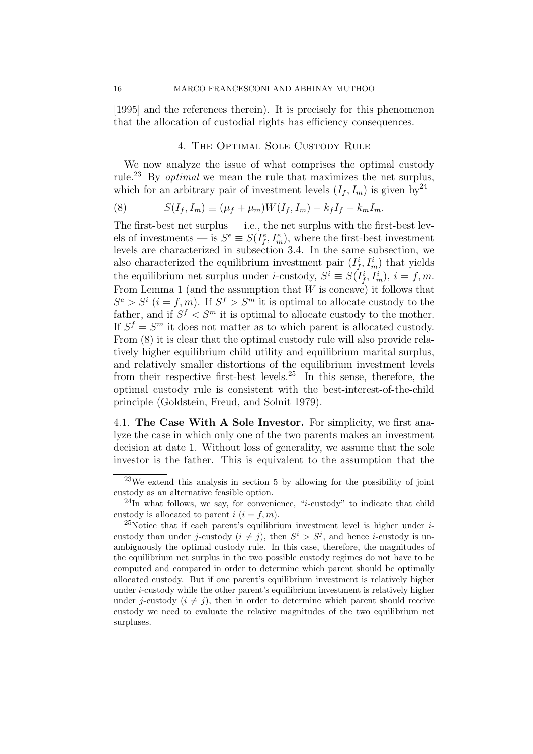[1995] and the references therein). It is precisely for this phenomenon that the allocation of custodial rights has efficiency consequences.

#### 4. The Optimal Sole Custody Rule

We now analyze the issue of what comprises the optimal custody rule.<sup>23</sup> By optimal we mean the rule that maximizes the net surplus, which for an arbitrary pair of investment levels  $(I_f, I_m)$  is given by<sup>24</sup>

(8) 
$$
S(I_f, I_m) \equiv (\mu_f + \mu_m)W(I_f, I_m) - k_f I_f - k_m I_m.
$$

The first-best net surplus  $-$  i.e., the net surplus with the first-best levels of investments — is  $S^e \equiv S(I_f^e, I_m^e)$ , where the first-best investment levels are characterized in subsection 3.4. In the same subsection, we also characterized the equilibrium investment pair  $(I_f^i, I_m^i)$  that yields the equilibrium net surplus under *i*-custody,  $S^i \equiv S(I_f^i, I_m^i), i = f, m$ . From Lemma 1 (and the assumption that  $W$  is concave) it follows that  $S^e > S^i$  ( $i = f, m$ ). If  $S^f > S^m$  it is optimal to allocate custody to the father, and if  $S^f \n\leq S^m$  it is optimal to allocate custody to the mother. If  $S^f = S^m$  it does not matter as to which parent is allocated custody. From (8) it is clear that the optimal custody rule will also provide relatively higher equilibrium child utility and equilibrium marital surplus, and relatively smaller distortions of the equilibrium investment levels from their respective first-best levels.<sup>25</sup> In this sense, therefore, the optimal custody rule is consistent with the best-interest-of-the-child principle (Goldstein, Freud, and Solnit 1979).

4.1. **The Case With A Sole Investor.** For simplicity, we first analyze the case in which only one of the two parents makes an investment decision at date 1. Without loss of generality, we assume that the sole investor is the father. This is equivalent to the assumption that the

 $23$ We extend this analysis in section 5 by allowing for the possibility of joint custody as an alternative feasible option.

 $^{24}$ In what follows, we say, for convenience, "*i*-custody" to indicate that child custody is allocated to parent  $i$   $(i = f, m)$ .

<sup>&</sup>lt;sup>25</sup>Notice that if each parent's equilibrium investment level is higher under  $i$ custody than under j-custody  $(i \neq j)$ , then  $S^i > S^j$ , and hence *i*-custody is unambiguously the optimal custody rule. In this case, therefore, the magnitudes of the equilibrium net surplus in the two possible custody regimes do not have to be computed and compared in order to determine which parent should be optimally allocated custody. But if one parent's equilibrium investment is relatively higher under i-custody while the other parent's equilibrium investment is relatively higher under j-custody  $(i \neq j)$ , then in order to determine which parent should receive custody we need to evaluate the relative magnitudes of the two equilibrium net surpluses.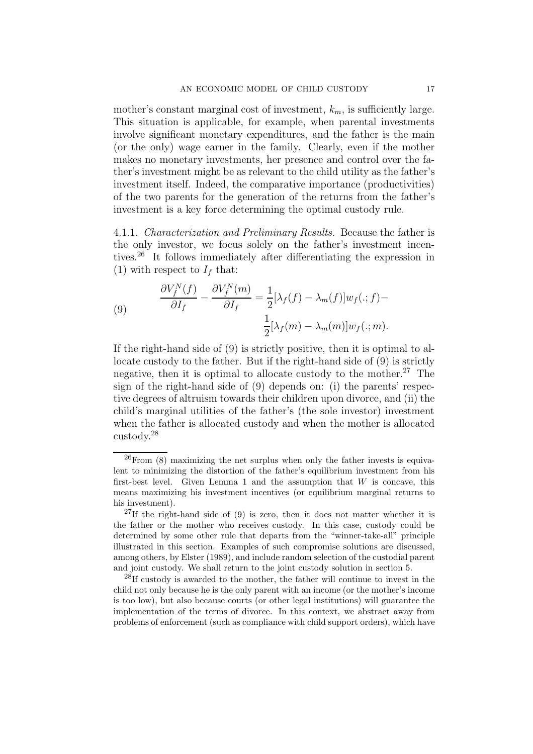mother's constant marginal cost of investment,  $k_m$ , is sufficiently large. This situation is applicable, for example, when parental investments involve significant monetary expenditures, and the father is the main (or the only) wage earner in the family. Clearly, even if the mother makes no monetary investments, her presence and control over the father's investment might be as relevant to the child utility as the father's investment itself. Indeed, the comparative importance (productivities) of the two parents for the generation of the returns from the father's investment is a key force determining the optimal custody rule.

4.1.1. Characterization and Preliminary Results. Because the father is the only investor, we focus solely on the father's investment incentives.<sup>26</sup> It follows immediately after differentiating the expression in (1) with respect to  $I_f$  that:

(9) 
$$
\frac{\partial V_f^N(f)}{\partial I_f} - \frac{\partial V_f^N(m)}{\partial I_f} = \frac{1}{2} [\lambda_f(f) - \lambda_m(f)] w_f(:,f) - \frac{1}{2} [\lambda_f(m) - \lambda_m(m)] w_f(:,m).
$$

If the right-hand side of (9) is strictly positive, then it is optimal to allocate custody to the father. But if the right-hand side of (9) is strictly negative, then it is optimal to allocate custody to the mother.<sup>27</sup> The sign of the right-hand side of (9) depends on: (i) the parents' respective degrees of altruism towards their children upon divorce, and (ii) the child's marginal utilities of the father's (the sole investor) investment when the father is allocated custody and when the mother is allocated custody.<sup>28</sup>

 $^{26}$ From (8) maximizing the net surplus when only the father invests is equivalent to minimizing the distortion of the father's equilibrium investment from his first-best level. Given Lemma 1 and the assumption that  $W$  is concave, this means maximizing his investment incentives (or equilibrium marginal returns to his investment).

 $^{27}$ If the right-hand side of (9) is zero, then it does not matter whether it is the father or the mother who receives custody. In this case, custody could be determined by some other rule that departs from the "winner-take-all" principle illustrated in this section. Examples of such compromise solutions are discussed, among others, by Elster (1989), and include random selection of the custodial parent and joint custody. We shall return to the joint custody solution in section 5.

<sup>28</sup>If custody is awarded to the mother, the father will continue to invest in the child not only because he is the only parent with an income (or the mother's income is too low), but also because courts (or other legal institutions) will guarantee the implementation of the terms of divorce. In this context, we abstract away from problems of enforcement (such as compliance with child support orders), which have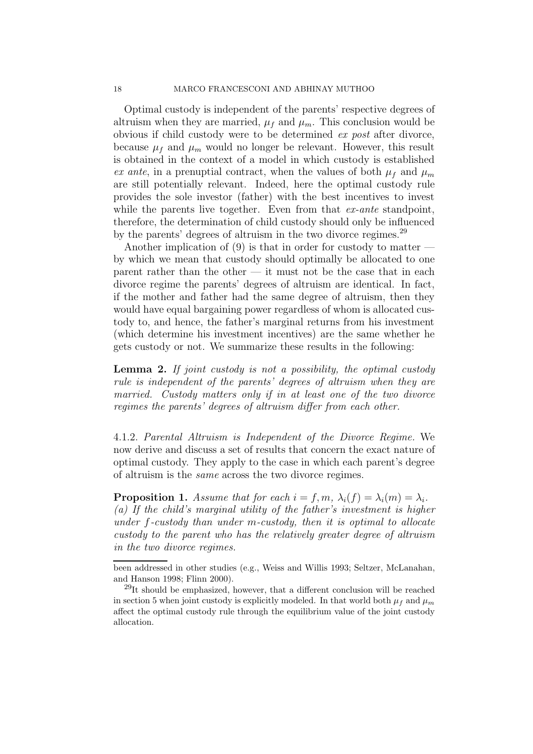Optimal custody is independent of the parents' respective degrees of altruism when they are married,  $\mu_f$  and  $\mu_m$ . This conclusion would be obvious if child custody were to be determined ex post after divorce, because  $\mu_f$  and  $\mu_m$  would no longer be relevant. However, this result is obtained in the context of a model in which custody is established ex ante, in a prenuptial contract, when the values of both  $\mu_f$  and  $\mu_m$ are still potentially relevant. Indeed, here the optimal custody rule provides the sole investor (father) with the best incentives to invest while the parents live together. Even from that *ex-ante* standpoint, therefore, the determination of child custody should only be influenced by the parents' degrees of altruism in the two divorce regimes.<sup>29</sup>

Another implication of  $(9)$  is that in order for custody to matter by which we mean that custody should optimally be allocated to one parent rather than the other  $-$  it must not be the case that in each divorce regime the parents' degrees of altruism are identical. In fact, if the mother and father had the same degree of altruism, then they would have equal bargaining power regardless of whom is allocated custody to, and hence, the father's marginal returns from his investment (which determine his investment incentives) are the same whether he gets custody or not. We summarize these results in the following:

**Lemma 2.** If joint custody is not a possibility, the optimal custody rule is independent of the parents' degrees of altruism when they are married. Custody matters only if in at least one of the two divorce regimes the parents' degrees of altruism differ from each other.

4.1.2. Parental Altruism is Independent of the Divorce Regime. We now derive and discuss a set of results that concern the exact nature of optimal custody. They apply to the case in which each parent's degree of altruism is the same across the two divorce regimes.

**Proposition 1.** Assume that for each  $i = f, m, \lambda_i(f) = \lambda_i(m) = \lambda_i$ . (a) If the child's marginal utility of the father's investment is higher under f-custody than under m-custody, then it is optimal to allocate custody to the parent who has the relatively greater degree of altruism in the two divorce regimes.

been addressed in other studies (e.g., Weiss and Willis 1993; Seltzer, McLanahan, and Hanson 1998; Flinn 2000).

<sup>29</sup>It should be emphasized, however, that a different conclusion will be reached in section 5 when joint custody is explicitly modeled. In that world both  $\mu_f$  and  $\mu_m$ affect the optimal custody rule through the equilibrium value of the joint custody allocation.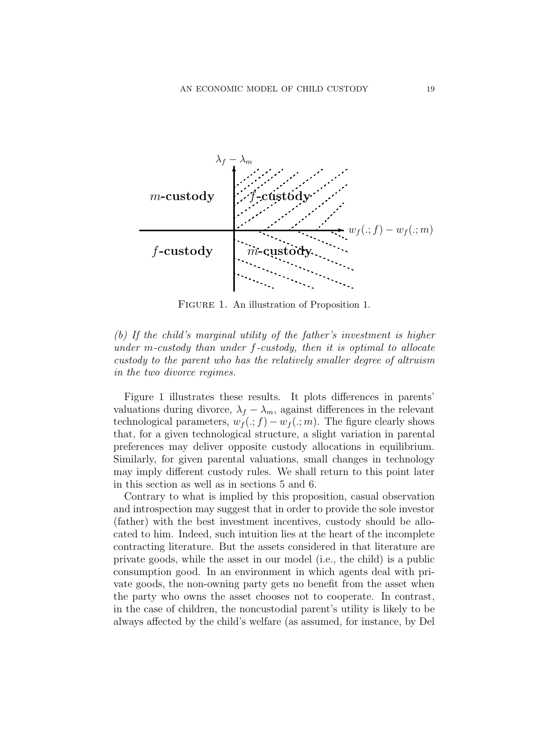

Figure 1. An illustration of Proposition 1.

(b) If the child's marginal utility of the father's investment is higher under m-custody than under  $f$ -custody, then it is optimal to allocate custody to the parent who has the relatively smaller degree of altruism in the two divorce regimes.

Figure 1 illustrates these results. It plots differences in parents' valuations during divorce,  $\lambda_f - \lambda_m$ , against differences in the relevant technological parameters,  $w_f(.; f) - w_f(.; m)$ . The figure clearly shows that, for a given technological structure, a slight variation in parental preferences may deliver opposite custody allocations in equilibrium. Similarly, for given parental valuations, small changes in technology may imply different custody rules. We shall return to this point later in this section as well as in sections 5 and 6.

Contrary to what is implied by this proposition, casual observation and introspection may suggest that in order to provide the sole investor (father) with the best investment incentives, custody should be allocated to him. Indeed, such intuition lies at the heart of the incomplete contracting literature. But the assets considered in that literature are private goods, while the asset in our model (i.e., the child) is a public consumption good. In an environment in which agents deal with private goods, the non-owning party gets no benefit from the asset when the party who owns the asset chooses not to cooperate. In contrast, in the case of children, the noncustodial parent's utility is likely to be always affected by the child's welfare (as assumed, for instance, by Del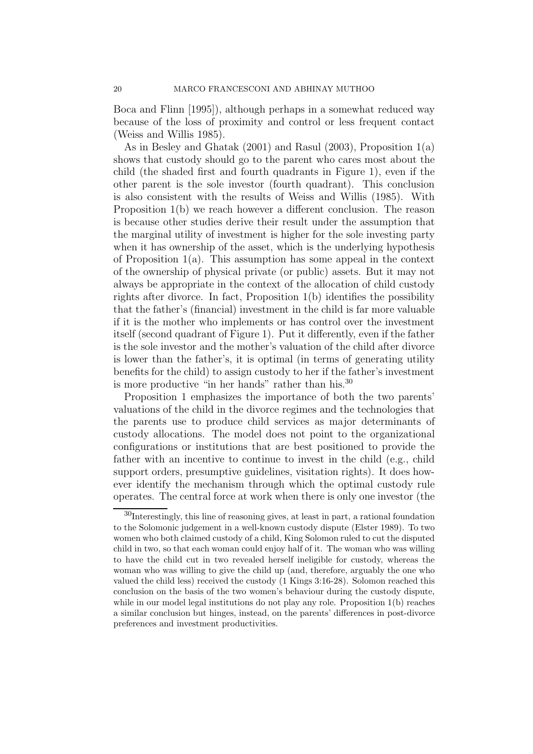Boca and Flinn [1995]), although perhaps in a somewhat reduced way because of the loss of proximity and control or less frequent contact (Weiss and Willis 1985).

As in Besley and Ghatak (2001) and Rasul (2003), Proposition 1(a) shows that custody should go to the parent who cares most about the child (the shaded first and fourth quadrants in Figure 1), even if the other parent is the sole investor (fourth quadrant). This conclusion is also consistent with the results of Weiss and Willis (1985). With Proposition 1(b) we reach however a different conclusion. The reason is because other studies derive their result under the assumption that the marginal utility of investment is higher for the sole investing party when it has ownership of the asset, which is the underlying hypothesis of Proposition 1(a). This assumption has some appeal in the context of the ownership of physical private (or public) assets. But it may not always be appropriate in the context of the allocation of child custody rights after divorce. In fact, Proposition 1(b) identifies the possibility that the father's (financial) investment in the child is far more valuable if it is the mother who implements or has control over the investment itself (second quadrant of Figure 1). Put it differently, even if the father is the sole investor and the mother's valuation of the child after divorce is lower than the father's, it is optimal (in terms of generating utility benefits for the child) to assign custody to her if the father's investment is more productive "in her hands" rather than his.<sup>30</sup>

Proposition 1 emphasizes the importance of both the two parents' valuations of the child in the divorce regimes and the technologies that the parents use to produce child services as major determinants of custody allocations. The model does not point to the organizational configurations or institutions that are best positioned to provide the father with an incentive to continue to invest in the child (e.g., child support orders, presumptive guidelines, visitation rights). It does however identify the mechanism through which the optimal custody rule operates. The central force at work when there is only one investor (the

<sup>30</sup>Interestingly, this line of reasoning gives, at least in part, a rational foundation to the Solomonic judgement in a well-known custody dispute (Elster 1989). To two women who both claimed custody of a child, King Solomon ruled to cut the disputed child in two, so that each woman could enjoy half of it. The woman who was willing to have the child cut in two revealed herself ineligible for custody, whereas the woman who was willing to give the child up (and, therefore, arguably the one who valued the child less) received the custody (1 Kings 3:16-28). Solomon reached this conclusion on the basis of the two women's behaviour during the custody dispute, while in our model legal institutions do not play any role. Proposition 1(b) reaches a similar conclusion but hinges, instead, on the parents' differences in post-divorce preferences and investment productivities.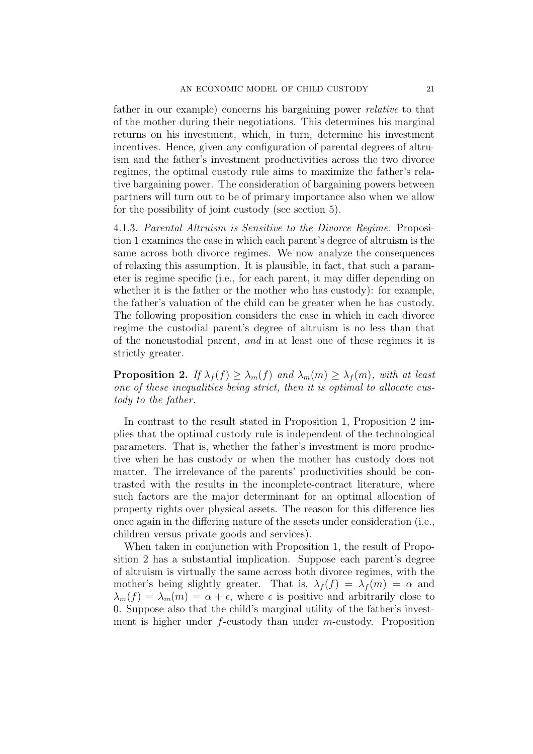father in our example) concerns his bargaining power relative to that of the mother during their negotiations. This determines his marginal returns on his investment, which, in turn, determine his investment incentives. Hence, given any configuration of parental degrees of altruism and the father's investment productivities across the two divorce regimes, the optimal custody rule aims to maximize the father's relative bargaining power. The consideration of bargaining powers between partners will turn out to be of primary importance also when we allow for the possibility of joint custody (see section 5).

4.1.3. Parental Altruism is Sensitive to the Divorce Regime. Proposition 1 examines the case in which each parent's degree of altruism is the same across both divorce regimes. We now analyze the consequences of relaxing this assumption. It is plausible, in fact, that such a parameter is regime specific (i.e., for each parent, it may differ depending on whether it is the father or the mother who has custody): for example, the father's valuation of the child can be greater when he has custody. The following proposition considers the case in which in each divorce regime the custodial parent's degree of altruism is no less than that of the noncustodial parent, and in at least one of these regimes it is strictly greater.

**Proposition 2.** If  $\lambda_f(f) \geq \lambda_m(f)$  and  $\lambda_m(m) \geq \lambda_f(m)$ , with at least one of these inequalities being strict, then it is optimal to allocate custody to the father.

In contrast to the result stated in Proposition 1, Proposition 2 implies that the optimal custody rule is independent of the technological parameters. That is, whether the father's investment is more productive when he has custody or when the mother has custody does not matter. The irrelevance of the parents' productivities should be contrasted with the results in the incomplete-contract literature, where such factors are the major determinant for an optimal allocation of property rights over physical assets. The reason for this difference lies once again in the differing nature of the assets under consideration (i.e., children versus private goods and services).

When taken in conjunction with Proposition 1, the result of Proposition 2 has a substantial implication. Suppose each parent's degree of altruism is virtually the same across both divorce regimes, with the mother's being slightly greater. That is,  $\lambda_f(f) = \lambda_f(m) = \alpha$  and  $\lambda_m(f) = \lambda_m(m) = \alpha + \epsilon$ , where  $\epsilon$  is positive and arbitrarily close to 0. Suppose also that the child's marginal utility of the father's investment is higher under  $f$ -custody than under  $m$ -custody. Proposition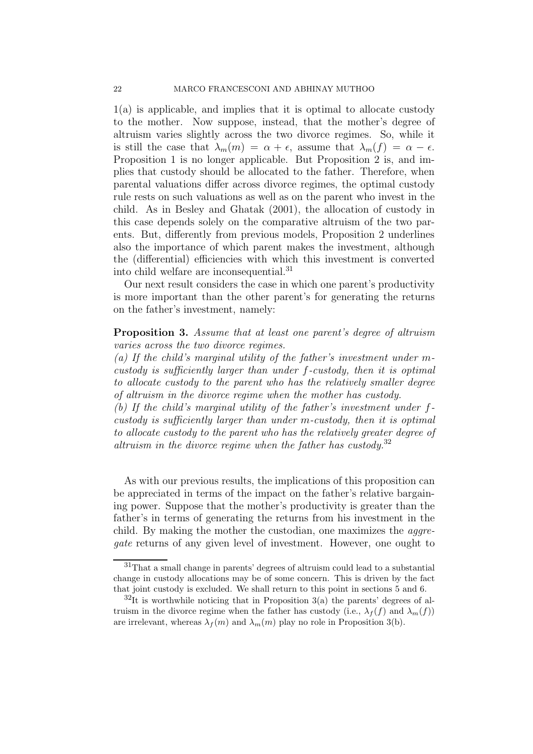1(a) is applicable, and implies that it is optimal to allocate custody to the mother. Now suppose, instead, that the mother's degree of altruism varies slightly across the two divorce regimes. So, while it is still the case that  $\lambda_m(m) = \alpha + \epsilon$ , assume that  $\lambda_m(f) = \alpha - \epsilon$ . Proposition 1 is no longer applicable. But Proposition 2 is, and implies that custody should be allocated to the father. Therefore, when parental valuations differ across divorce regimes, the optimal custody rule rests on such valuations as well as on the parent who invest in the child. As in Besley and Ghatak (2001), the allocation of custody in this case depends solely on the comparative altruism of the two parents. But, differently from previous models, Proposition 2 underlines also the importance of which parent makes the investment, although the (differential) efficiencies with which this investment is converted into child welfare are inconsequential.<sup>31</sup>

Our next result considers the case in which one parent's productivity is more important than the other parent's for generating the returns on the father's investment, namely:

**Proposition 3.** Assume that at least one parent's degree of altruism varies across the two divorce regimes.

(a) If the child's marginal utility of the father's investment under  $m$ custody is sufficiently larger than under f-custody, then it is optimal to allocate custody to the parent who has the relatively smaller degree of altruism in the divorce regime when the mother has custody.

(b) If the child's marginal utility of the father's investment under fcustody is sufficiently larger than under m-custody, then it is optimal to allocate custody to the parent who has the relatively greater degree of altruism in the divorce regime when the father has custody.<sup>32</sup>

As with our previous results, the implications of this proposition can be appreciated in terms of the impact on the father's relative bargaining power. Suppose that the mother's productivity is greater than the father's in terms of generating the returns from his investment in the child. By making the mother the custodian, one maximizes the *aggre*gate returns of any given level of investment. However, one ought to

<sup>31</sup>That a small change in parents' degrees of altruism could lead to a substantial change in custody allocations may be of some concern. This is driven by the fact that joint custody is excluded. We shall return to this point in sections 5 and 6.

 $3^{2}$ It is worthwhile noticing that in Proposition 3(a) the parents' degrees of altruism in the divorce regime when the father has custody (i.e.,  $\lambda_f(f)$  and  $\lambda_m(f)$ ) are irrelevant, whereas  $\lambda_f(m)$  and  $\lambda_m(m)$  play no role in Proposition 3(b).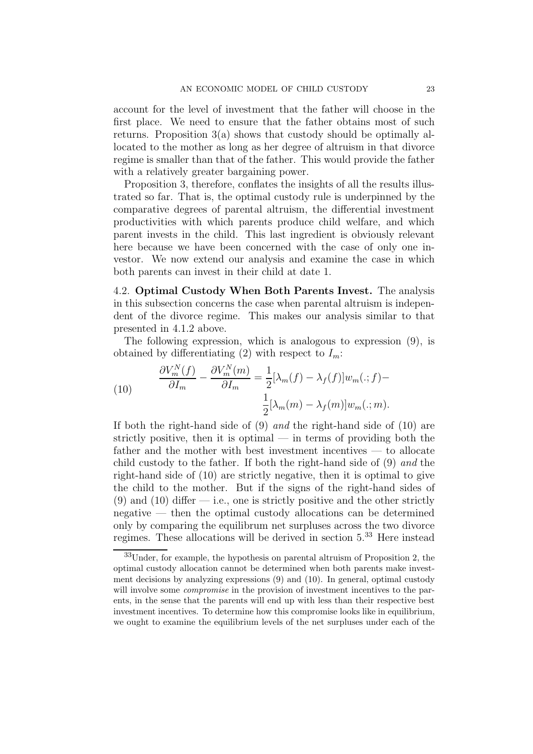account for the level of investment that the father will choose in the first place. We need to ensure that the father obtains most of such returns. Proposition 3(a) shows that custody should be optimally allocated to the mother as long as her degree of altruism in that divorce regime is smaller than that of the father. This would provide the father with a relatively greater bargaining power.

Proposition 3, therefore, conflates the insights of all the results illustrated so far. That is, the optimal custody rule is underpinned by the comparative degrees of parental altruism, the differential investment productivities with which parents produce child welfare, and which parent invests in the child. This last ingredient is obviously relevant here because we have been concerned with the case of only one investor. We now extend our analysis and examine the case in which both parents can invest in their child at date 1.

4.2. **Optimal Custody When Both Parents Invest.** The analysis in this subsection concerns the case when parental altruism is independent of the divorce regime. This makes our analysis similar to that presented in 4.1.2 above.

The following expression, which is analogous to expression (9), is obtained by differentiating (2) with respect to  $I_m$ :

(10) 
$$
\frac{\partial V_m^N(f)}{\partial I_m} - \frac{\partial V_m^N(m)}{\partial I_m} = \frac{1}{2} [\lambda_m(f) - \lambda_f(f)] w_m(:,f) - \frac{1}{2} [\lambda_m(m) - \lambda_f(m)] w_m(:,m).
$$

If both the right-hand side of (9) and the right-hand side of (10) are strictly positive, then it is optimal — in terms of providing both the father and the mother with best investment incentives — to allocate child custody to the father. If both the right-hand side of (9) and the right-hand side of (10) are strictly negative, then it is optimal to give the child to the mother. But if the signs of the right-hand sides of  $(9)$  and  $(10)$  differ  $-$  i.e., one is strictly positive and the other strictly negative — then the optimal custody allocations can be determined only by comparing the equilibrum net surpluses across the two divorce regimes. These allocations will be derived in section 5.<sup>33</sup> Here instead

<sup>33</sup>Under, for example, the hypothesis on parental altruism of Proposition 2, the optimal custody allocation cannot be determined when both parents make investment decisions by analyzing expressions (9) and (10). In general, optimal custody will involve some *compromise* in the provision of investment incentives to the parents, in the sense that the parents will end up with less than their respective best investment incentives. To determine how this compromise looks like in equilibrium, we ought to examine the equilibrium levels of the net surpluses under each of the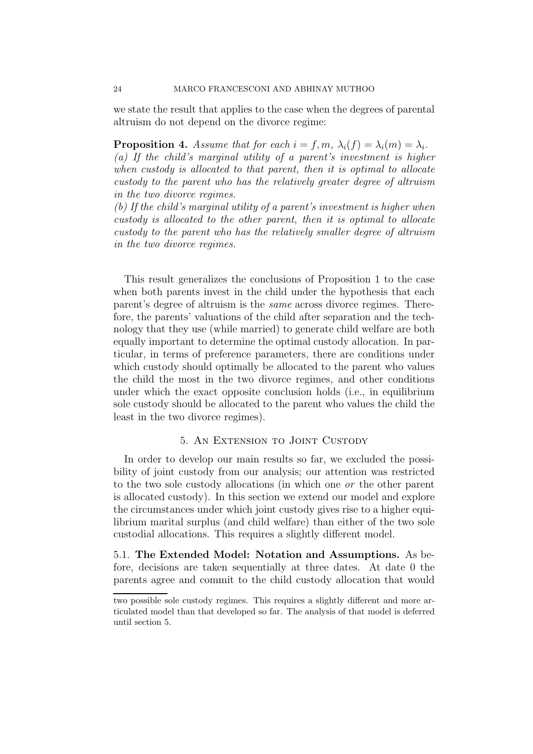we state the result that applies to the case when the degrees of parental altruism do not depend on the divorce regime:

**Proposition 4.** Assume that for each  $i = f, m, \lambda_i(f) = \lambda_i(m) = \lambda_i$ . (a) If the child's marginal utility of a parent's investment is higher when custody is allocated to that parent, then it is optimal to allocate custody to the parent who has the relatively greater degree of altruism in the two divorce regimes.

(b) If the child's marginal utility of a parent's investment is higher when custody is allocated to the other parent, then it is optimal to allocate custody to the parent who has the relatively smaller degree of altruism in the two divorce regimes.

This result generalizes the conclusions of Proposition 1 to the case when both parents invest in the child under the hypothesis that each parent's degree of altruism is the same across divorce regimes. Therefore, the parents' valuations of the child after separation and the technology that they use (while married) to generate child welfare are both equally important to determine the optimal custody allocation. In particular, in terms of preference parameters, there are conditions under which custody should optimally be allocated to the parent who values the child the most in the two divorce regimes, and other conditions under which the exact opposite conclusion holds (i.e., in equilibrium sole custody should be allocated to the parent who values the child the least in the two divorce regimes).

#### 5. An Extension to Joint Custody

In order to develop our main results so far, we excluded the possibility of joint custody from our analysis; our attention was restricted to the two sole custody allocations (in which one or the other parent is allocated custody). In this section we extend our model and explore the circumstances under which joint custody gives rise to a higher equilibrium marital surplus (and child welfare) than either of the two sole custodial allocations. This requires a slightly different model.

5.1. **The Extended Model: Notation and Assumptions.** As before, decisions are taken sequentially at three dates. At date 0 the parents agree and commit to the child custody allocation that would

two possible sole custody regimes. This requires a slightly different and more articulated model than that developed so far. The analysis of that model is deferred until section 5.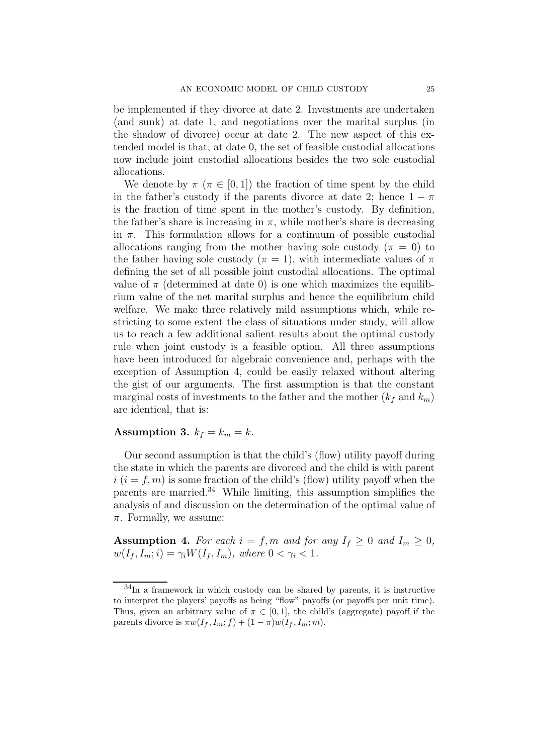be implemented if they divorce at date 2. Investments are undertaken (and sunk) at date 1, and negotiations over the marital surplus (in the shadow of divorce) occur at date 2. The new aspect of this extended model is that, at date 0, the set of feasible custodial allocations now include joint custodial allocations besides the two sole custodial allocations.

We denote by  $\pi$  ( $\pi \in [0, 1]$ ) the fraction of time spent by the child in the father's custody if the parents divorce at date 2; hence  $1 - \pi$ is the fraction of time spent in the mother's custody. By definition, the father's share is increasing in  $\pi$ , while mother's share is decreasing in  $\pi$ . This formulation allows for a continuum of possible custodial allocations ranging from the mother having sole custody ( $\pi = 0$ ) to the father having sole custody ( $\pi = 1$ ), with intermediate values of  $\pi$ defining the set of all possible joint custodial allocations. The optimal value of  $\pi$  (determined at date 0) is one which maximizes the equilibrium value of the net marital surplus and hence the equilibrium child welfare. We make three relatively mild assumptions which, while restricting to some extent the class of situations under study, will allow us to reach a few additional salient results about the optimal custody rule when joint custody is a feasible option. All three assumptions have been introduced for algebraic convenience and, perhaps with the exception of Assumption 4, could be easily relaxed without altering the gist of our arguments. The first assumption is that the constant marginal costs of investments to the father and the mother  $(k_f$  and  $k_m$ ) are identical, that is:

#### **Assumption 3.**  $k_f = k_m = k$ .

Our second assumption is that the child's (flow) utility payoff during the state in which the parents are divorced and the child is with parent  $i (i = f, m)$  is some fraction of the child's (flow) utility payoff when the parents are married. $34$  While limiting, this assumption simplifies the analysis of and discussion on the determination of the optimal value of  $\pi$ . Formally, we assume:

**Assumption 4.** For each  $i = f, m$  and for any  $I_f \geq 0$  and  $I_m \geq 0$ ,  $w(I_f, I_m; i) = \gamma_i W(I_f, I_m)$ , where  $0 < \gamma_i < 1$ .

<sup>34</sup>In a framework in which custody can be shared by parents, it is instructive to interpret the players' payoffs as being "flow" payoffs (or payoffs per unit time). Thus, given an arbitrary value of  $\pi \in [0,1]$ , the child's (aggregate) payoff if the parents divorce is  $\pi w(I_f, I_m; f) + (1 - \pi)w(I_f, I_m; m)$ .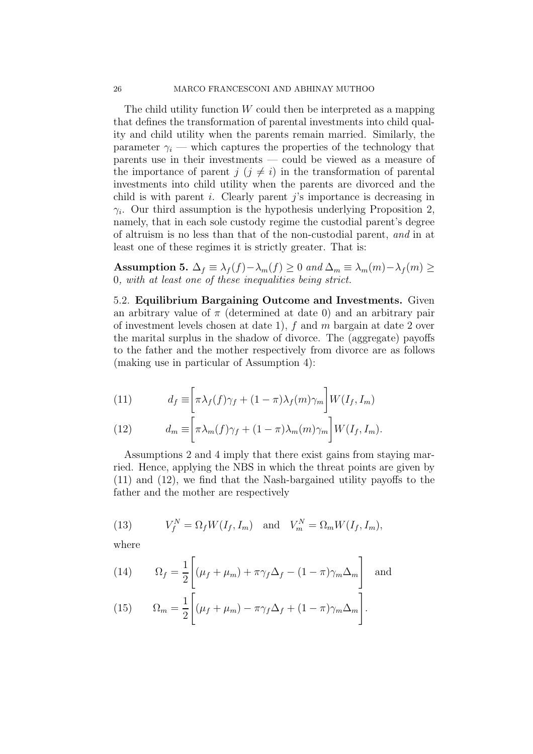The child utility function  $W$  could then be interpreted as a mapping that defines the transformation of parental investments into child quality and child utility when the parents remain married. Similarly, the parameter  $\gamma_i$  — which captures the properties of the technology that parents use in their investments — could be viewed as a measure of the importance of parent  $j$   $(j \neq i)$  in the transformation of parental investments into child utility when the parents are divorced and the child is with parent i. Clearly parent j's importance is decreasing in  $\gamma_i$ . Our third assumption is the hypothesis underlying Proposition 2, namely, that in each sole custody regime the custodial parent's degree of altruism is no less than that of the non-custodial parent, and in at least one of these regimes it is strictly greater. That is:

**Assumption 5.**  $\Delta_f \equiv \lambda_f(f) - \lambda_m(f) \geq 0$  and  $\Delta_m \equiv \lambda_m(m) - \lambda_f(m) \geq 0$ 0, with at least one of these inequalities being strict.

5.2. **Equilibrium Bargaining Outcome and Investments.** Given an arbitrary value of  $\pi$  (determined at date 0) and an arbitrary pair of investment levels chosen at date 1),  $f$  and  $m$  bargain at date 2 over the marital surplus in the shadow of divorce. The (aggregate) payoffs to the father and the mother respectively from divorce are as follows (making use in particular of Assumption 4):

(11) 
$$
d_f \equiv \left[ \pi \lambda_f(f) \gamma_f + (1 - \pi) \lambda_f(m) \gamma_m \right] W(I_f, I_m)
$$

(12) 
$$
d_m \equiv \left[ \pi \lambda_m(f) \gamma_f + (1 - \pi) \lambda_m(m) \gamma_m \right] W(I_f, I_m).
$$

Assumptions 2 and 4 imply that there exist gains from staying married. Hence, applying the NBS in which the threat points are given by (11) and (12), we find that the Nash-bargained utility payoffs to the father and the mother are respectively

(13) 
$$
V_f^N = \Omega_f W(I_f, I_m) \text{ and } V_m^N = \Omega_m W(I_f, I_m),
$$

where

(14) 
$$
\Omega_f = \frac{1}{2} \left[ (\mu_f + \mu_m) + \pi \gamma_f \Delta_f - (1 - \pi) \gamma_m \Delta_m \right]
$$
 and

(15) 
$$
\Omega_m = \frac{1}{2} \left[ (\mu_f + \mu_m) - \pi \gamma_f \Delta_f + (1 - \pi) \gamma_m \Delta_m \right].
$$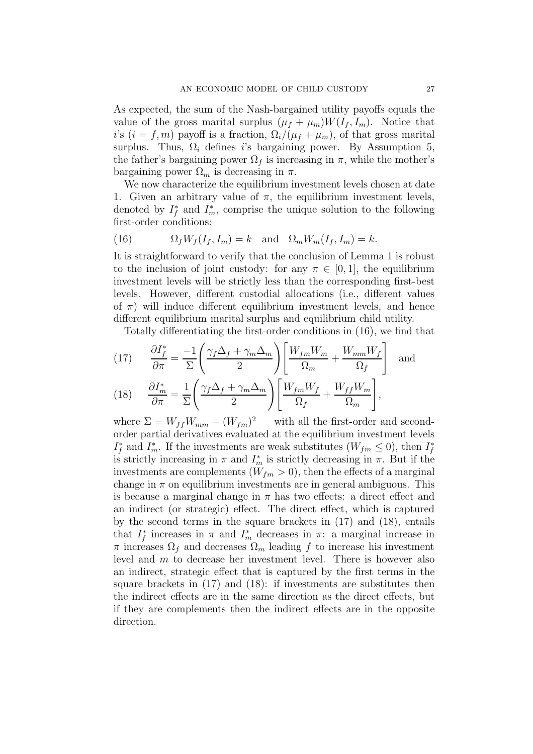As expected, the sum of the Nash-bargained utility payoffs equals the value of the gross marital surplus  $(\mu_f + \mu_m)W(I_f, I_m)$ . Notice that i's  $(i = f, m)$  payoff is a fraction,  $\Omega_i/(\mu_f + \mu_m)$ , of that gross marital surplus. Thus,  $\Omega_i$  defines is bargaining power. By Assumption 5, the father's bargaining power  $\Omega_f$  is increasing in  $\pi$ , while the mother's bargaining power  $\Omega_m$  is decreasing in  $\pi$ .

We now characterize the equilibrium investment levels chosen at date 1. Given an arbitrary value of  $\pi$ , the equilibrium investment levels, denoted by  $I_f^*$  and  $I_m^*$ , comprise the unique solution to the following first-order conditions:

(16) 
$$
\Omega_f W_f(I_f, I_m) = k \text{ and } \Omega_m W_m(I_f, I_m) = k.
$$

It is straightforward to verify that the conclusion of Lemma 1 is robust to the inclusion of joint custody: for any  $\pi \in [0, 1]$ , the equilibrium investment levels will be strictly less than the corresponding first-best levels. However, different custodial allocations (i.e., different values of  $\pi$ ) will induce different equilibrium investment levels, and hence different equilibrium marital surplus and equilibrium child utility.

Totally differentiating the first-order conditions in (16), we find that

(17) 
$$
\frac{\partial I_f^*}{\partial \pi} = \frac{-1}{\Sigma} \left( \frac{\gamma_f \Delta_f + \gamma_m \Delta_m}{2} \right) \left[ \frac{W_{fm} W_m}{\Omega_m} + \frac{W_{mm} W_f}{\Omega_f} \right]
$$
 and 
$$
\frac{\partial I_f^*}{\partial \tau} = \frac{1}{\Sigma} \left( \frac{\gamma_f \Delta_f + \gamma_m \Delta_m}{2} \right) \left[ \frac{W_{fm} W_f}{W_{fm} W_f} + \frac{W_{ff} W_m}{W_{ff} W_m} \right]
$$

(18) 
$$
\frac{\partial I_m^*}{\partial \pi} = \frac{1}{\Sigma} \left( \frac{\gamma_f \Delta_f + \gamma_m \Delta_m}{2} \right) \left[ \frac{W_{fm} W_f}{\Omega_f} + \frac{W_{ff} W_m}{\Omega_m} \right],
$$

where  $\Sigma = W_{ff} W_{mm} - (W_{fm})^2$  — with all the first-order and secondorder partial derivatives evaluated at the equilibrium investment levels  $I_f^*$  and  $I_m^*$ . If the investments are weak substitutes  $(W_{fm} \leq 0)$ , then  $I_f^*$ is strictly increasing in  $\pi$  and  $I_m^*$  is strictly decreasing in  $\pi$ . But if the investments are complements  $(W_{fm} > 0)$ , then the effects of a marginal change in  $\pi$  on equilibrium investments are in general ambiguous. This is because a marginal change in  $\pi$  has two effects: a direct effect and an indirect (or strategic) effect. The direct effect, which is captured by the second terms in the square brackets in (17) and (18), entails that  $I_f^*$  increases in  $\pi$  and  $I_m^*$  decreases in  $\pi$ : a marginal increase in  $\pi$  increases  $\Omega_f$  and decreases  $\Omega_m$  leading f to increase his investment level and  $m$  to decrease her investment level. There is however also an indirect, strategic effect that is captured by the first terms in the square brackets in (17) and (18): if investments are substitutes then the indirect effects are in the same direction as the direct effects, but if they are complements then the indirect effects are in the opposite direction.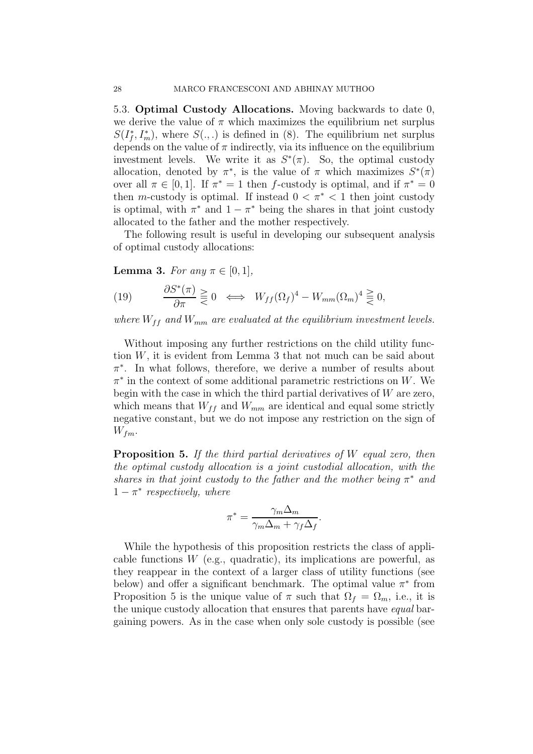5.3. **Optimal Custody Allocations.** Moving backwards to date 0, we derive the value of  $\pi$  which maximizes the equilibrium net surplus  $S(I_f^*, I_m^*)$ , where  $S(.,.)$  is defined in (8). The equilibrium net surplus depends on the value of  $\pi$  indirectly, via its influence on the equilibrium investment levels. We write it as  $S^*(\pi)$ . So, the optimal custody allocation, denoted by  $\pi^*$ , is the value of  $\pi$  which maximizes  $S^*(\pi)$ over all  $\pi \in [0,1]$ . If  $\pi^* = 1$  then f-custody is optimal, and if  $\pi^* = 0$ then m-custody is optimal. If instead  $0 < \pi^* < 1$  then joint custody is optimal, with  $\pi^*$  and  $1 - \pi^*$  being the shares in that joint custody allocated to the father and the mother respectively.

The following result is useful in developing our subsequent analysis of optimal custody allocations:

**Lemma 3.** For any  $\pi \in [0, 1]$ ,

(19) 
$$
\frac{\partial S^*(\pi)}{\partial \pi} \geq 0 \iff W_{ff}(\Omega_f)^4 - W_{mm}(\Omega_m)^4 \geq 0,
$$

where  $W_{ff}$  and  $W_{mm}$  are evaluated at the equilibrium investment levels.

Without imposing any further restrictions on the child utility function W, it is evident from Lemma 3 that not much can be said about  $\pi^*$ . In what follows, therefore, we derive a number of results about  $\pi^*$  in the context of some additional parametric restrictions on W. We begin with the case in which the third partial derivatives of  $W$  are zero, which means that  $W_{ff}$  and  $W_{mm}$  are identical and equal some strictly negative constant, but we do not impose any restriction on the sign of  $W_{fm}$ .

**Proposition 5.** If the third partial derivatives of W equal zero, then the optimal custody allocation is a joint custodial allocation, with the shares in that joint custody to the father and the mother being  $\pi^*$  and  $1 - \pi^*$  respectively, where

$$
\pi^* = \frac{\gamma_m \Delta_m}{\gamma_m \Delta_m + \gamma_f \Delta_f}.
$$

While the hypothesis of this proposition restricts the class of applicable functions  $W$  (e.g., quadratic), its implications are powerful, as they reappear in the context of a larger class of utility functions (see below) and offer a significant benchmark. The optimal value  $\pi^*$  from Proposition 5 is the unique value of  $\pi$  such that  $\Omega_f = \Omega_m$ , i.e., it is the unique custody allocation that ensures that parents have equal bargaining powers. As in the case when only sole custody is possible (see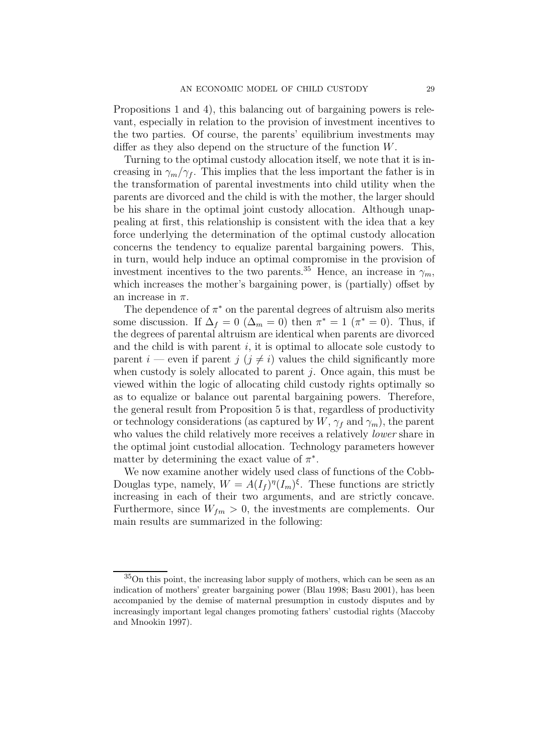Propositions 1 and 4), this balancing out of bargaining powers is relevant, especially in relation to the provision of investment incentives to the two parties. Of course, the parents' equilibrium investments may differ as they also depend on the structure of the function W.

Turning to the optimal custody allocation itself, we note that it is increasing in  $\gamma_m/\gamma_f$ . This implies that the less important the father is in the transformation of parental investments into child utility when the parents are divorced and the child is with the mother, the larger should be his share in the optimal joint custody allocation. Although unappealing at first, this relationship is consistent with the idea that a key force underlying the determination of the optimal custody allocation concerns the tendency to equalize parental bargaining powers. This, in turn, would help induce an optimal compromise in the provision of investment incentives to the two parents.<sup>35</sup> Hence, an increase in  $\gamma_m$ , which increases the mother's bargaining power, is (partially) offset by an increase in  $\pi$ .

The dependence of  $\pi^*$  on the parental degrees of altruism also merits some discussion. If  $\Delta_f = 0$  ( $\Delta_m = 0$ ) then  $\pi^* = 1$  ( $\pi^* = 0$ ). Thus, if the degrees of parental altruism are identical when parents are divorced and the child is with parent  $i$ , it is optimal to allocate sole custody to parent i — even if parent j  $(j \neq i)$  values the child significantly more when custody is solely allocated to parent  $j$ . Once again, this must be viewed within the logic of allocating child custody rights optimally so as to equalize or balance out parental bargaining powers. Therefore, the general result from Proposition 5 is that, regardless of productivity or technology considerations (as captured by  $W$ ,  $\gamma_f$  and  $\gamma_m$ ), the parent who values the child relatively more receives a relatively *lower* share in the optimal joint custodial allocation. Technology parameters however matter by determining the exact value of  $\pi^*$ .

We now examine another widely used class of functions of the Cobb-Douglas type, namely,  $W = A(I_f)^\eta(I_m)^\xi$ . These functions are strictly increasing in each of their two arguments, and are strictly concave. Furthermore, since  $W_{fm} > 0$ , the investments are complements. Our main results are summarized in the following:

<sup>35</sup>On this point, the increasing labor supply of mothers, which can be seen as an indication of mothers' greater bargaining power (Blau 1998; Basu 2001), has been accompanied by the demise of maternal presumption in custody disputes and by increasingly important legal changes promoting fathers' custodial rights (Maccoby and Mnookin 1997).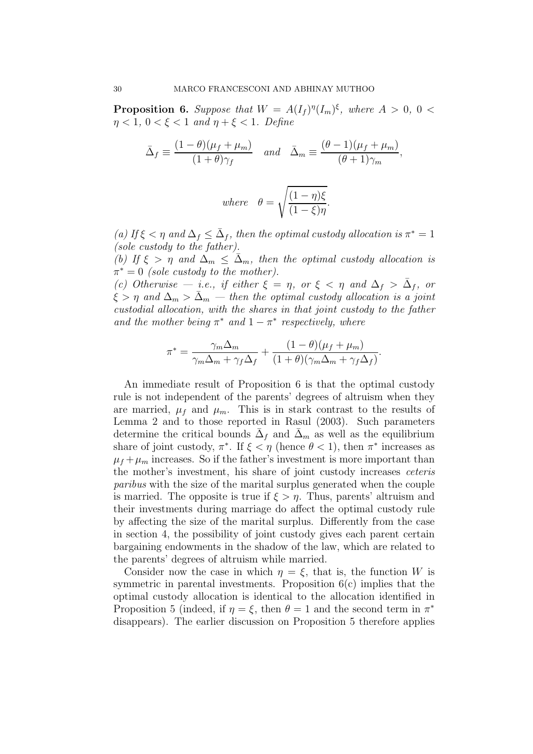**Proposition 6.** Suppose that  $W = A(I_f)^{\eta}(I_m)^{\xi}$ , where  $A > 0$ ,  $0 <$  $\eta < 1, 0 < \xi < 1$  and  $\eta + \xi < 1$ . Define

$$
\bar{\Delta}_f \equiv \frac{(1-\theta)(\mu_f + \mu_m)}{(1+\theta)\gamma_f} \quad \text{and} \quad \bar{\Delta}_m \equiv \frac{(\theta - 1)(\mu_f + \mu_m)}{(\theta + 1)\gamma_m},
$$
\n
$$
\text{where} \quad \theta = \sqrt{\frac{(1-\eta)\xi}{(1-\xi)\eta}}.
$$

(a) If  $\xi < \eta$  and  $\Delta_f \leq \bar{\Delta}_f$ , then the optimal custody allocation is  $\pi^* = 1$ (sole custody to the father).

(b) If  $\xi > \eta$  and  $\Delta_m \leq \overline{\Delta}_m$ , then the optimal custody allocation is  $\pi^* = 0$  (sole custody to the mother).

(c) Otherwise — i.e., if either  $\xi = \eta$ , or  $\xi < \eta$  and  $\Delta_f > \overline{\Delta}_f$ , or  $\xi > \eta$  and  $\Delta_m > \bar{\Delta}_m$  — then the optimal custody allocation is a joint custodial allocation, with the shares in that joint custody to the father and the mother being  $\pi^*$  and  $1 - \pi^*$  respectively, where

$$
\pi^* = \frac{\gamma_m \Delta_m}{\gamma_m \Delta_m + \gamma_f \Delta_f} + \frac{(1-\theta)(\mu_f + \mu_m)}{(1+\theta)(\gamma_m \Delta_m + \gamma_f \Delta_f)}.
$$

An immediate result of Proposition 6 is that the optimal custody rule is not independent of the parents' degrees of altruism when they are married,  $\mu_f$  and  $\mu_m$ . This is in stark contrast to the results of Lemma 2 and to those reported in Rasul (2003). Such parameters determine the critical bounds  $\Delta_f$  and  $\Delta_m$  as well as the equilibrium share of joint custody,  $\pi^*$ . If  $\xi < \eta$  (hence  $\theta < 1$ ), then  $\pi^*$  increases as  $\mu_f + \mu_m$  increases. So if the father's investment is more important than the mother's investment, his share of joint custody increases ceteris paribus with the size of the marital surplus generated when the couple is married. The opposite is true if  $\xi > \eta$ . Thus, parents' altruism and their investments during marriage do affect the optimal custody rule by affecting the size of the marital surplus. Differently from the case in section 4, the possibility of joint custody gives each parent certain bargaining endowments in the shadow of the law, which are related to the parents' degrees of altruism while married.

Consider now the case in which  $\eta = \xi$ , that is, the function W is symmetric in parental investments. Proposition 6(c) implies that the optimal custody allocation is identical to the allocation identified in Proposition 5 (indeed, if  $\eta = \xi$ , then  $\theta = 1$  and the second term in  $\pi^*$ disappears). The earlier discussion on Proposition 5 therefore applies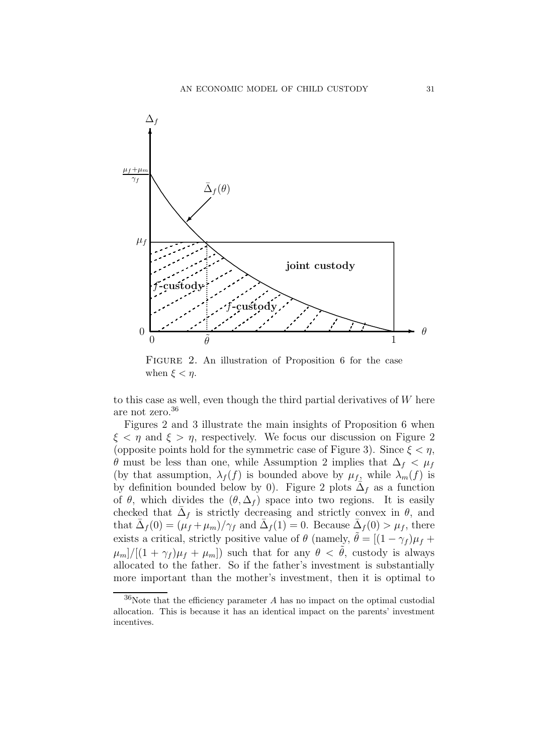

Figure 2. An illustration of Proposition 6 for the case when  $\xi < \eta$ .

to this case as well, even though the third partial derivatives of  $W$  here are not zero.<sup>36</sup>

Figures 2 and 3 illustrate the main insights of Proposition 6 when  $\xi < \eta$  and  $\xi > \eta$ , respectively. We focus our discussion on Figure 2 (opposite points hold for the symmetric case of Figure 3). Since  $\xi < \eta$ ,  $\theta$  must be less than one, while Assumption 2 implies that  $\Delta_f < \mu_f$ (by that assumption,  $\lambda_f(f)$  is bounded above by  $\mu_f$ , while  $\lambda_m(f)$  is by definition bounded below by 0). Figure 2 plots  $\overline{\Delta}_f$  as a function of  $\theta$ , which divides the  $(\theta, \Delta_f)$  space into two regions. It is easily checked that  $\Delta_f$  is strictly decreasing and strictly convex in  $\theta$ , and that  $\bar{\Delta}_f(0) = (\mu_f + \mu_m)/\gamma_f$  and  $\bar{\Delta}_f(1) = 0$ . Because  $\bar{\Delta}_f(0) > \mu_f$ , there exists a critical, strictly positive value of  $\theta$  (namely,  $\tilde{\theta} = [(1 - \gamma_f) \mu_f +$  $\mu_m$ / $[(1 + \gamma_f)\mu_f + \mu_m]$  such that for any  $\theta < \tilde{\theta}$ , custody is always allocated to the father. So if the father's investment is substantially more important than the mother's investment, then it is optimal to

 $36$ Note that the efficiency parameter A has no impact on the optimal custodial allocation. This is because it has an identical impact on the parents' investment incentives.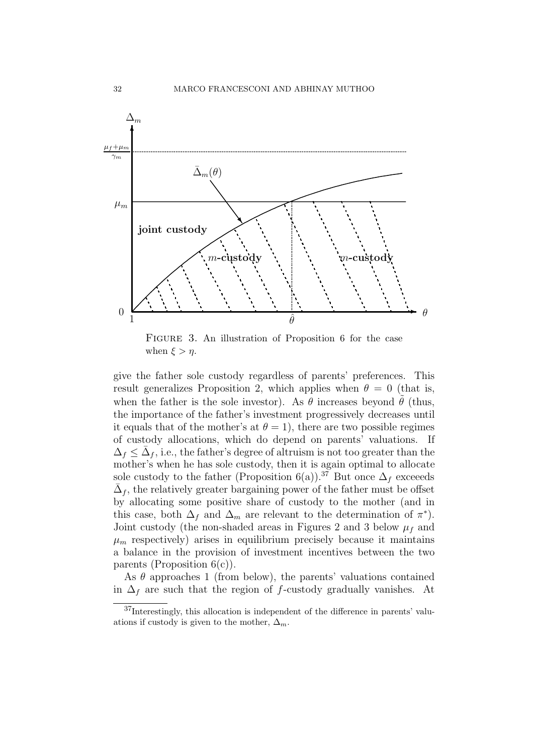

FIGURE 3. An illustration of Proposition 6 for the case when  $\xi > \eta$ .

give the father sole custody regardless of parents' preferences. This result generalizes Proposition 2, which applies when  $\theta = 0$  (that is, when the father is the sole investor). As  $\theta$  increases beyond  $\theta$  (thus, the importance of the father's investment progressively decreases until it equals that of the mother's at  $\theta = 1$ , there are two possible regimes of custody allocations, which do depend on parents' valuations. If  $\Delta_f \leq \Delta_f$ , i.e., the father's degree of altruism is not too greater than the mother's when he has sole custody, then it is again optimal to allocate sole custody to the father (Proposition 6(a)).<sup>37</sup> But once  $\Delta_f$  exceeds  $\overline{\Delta}_f$ , the relatively greater bargaining power of the father must be offset by allocating some positive share of custody to the mother (and in this case, both  $\Delta_f$  and  $\Delta_m$  are relevant to the determination of  $\pi^*$ ). Joint custody (the non-shaded areas in Figures 2 and 3 below  $\mu_f$  and  $\mu_m$  respectively) arises in equilibrium precisely because it maintains a balance in the provision of investment incentives between the two parents (Proposition  $6(c)$ ).

As  $\theta$  approaches 1 (from below), the parents' valuations contained in  $\Delta_f$  are such that the region of f-custody gradually vanishes. At

<sup>37</sup>Interestingly, this allocation is independent of the difference in parents' valuations if custody is given to the mother,  $\Delta_m$ .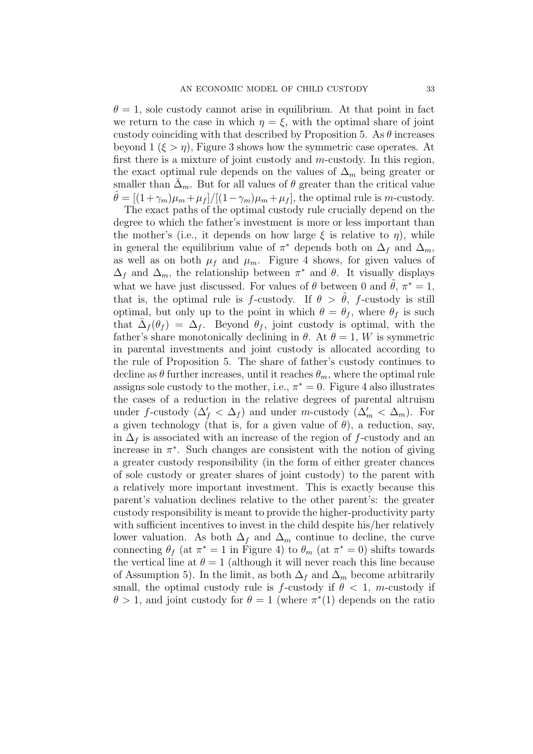$\theta = 1$ , sole custody cannot arise in equilibrium. At that point in fact we return to the case in which  $\eta = \xi$ , with the optimal share of joint custody coinciding with that described by Proposition 5. As  $\theta$  increases beyond  $1 \ (\xi > \eta)$ , Figure 3 shows how the symmetric case operates. At first there is a mixture of joint custody and  $m$ -custody. In this region, the exact optimal rule depends on the values of  $\Delta_m$  being greater or smaller than  $\Delta_m$ . But for all values of  $\theta$  greater than the critical value  $\hat{\theta} = [(1+\gamma_m)\mu_m + \mu_f]/[(1-\gamma_m)\mu_m + \mu_f]$ , the optimal rule is m-custody.

The exact paths of the optimal custody rule crucially depend on the degree to which the father's investment is more or less important than the mother's (i.e., it depends on how large  $\xi$  is relative to  $\eta$ ), while in general the equilibrium value of  $\pi^*$  depends both on  $\Delta_f$  and  $\Delta_m$ , as well as on both  $\mu_f$  and  $\mu_m$ . Figure 4 shows, for given values of  $\Delta_f$  and  $\Delta_m$ , the relationship between  $\pi^*$  and  $\theta$ . It visually displays what we have just discussed. For values of  $\theta$  between 0 and  $\theta$ ,  $\pi^* = 1$ , that is, the optimal rule is f-custody. If  $\theta > \theta$ , f-custody is still optimal, but only up to the point in which  $\theta = \theta_f$ , where  $\theta_f$  is such that  $\Delta_f(\theta_f) = \Delta_f$ . Beyond  $\theta_f$ , joint custody is optimal, with the father's share monotonically declining in  $\theta$ . At  $\theta = 1$ , W is symmetric in parental investments and joint custody is allocated according to the rule of Proposition 5. The share of father's custody continues to decline as  $\theta$  further increases, until it reaches  $\theta_m$ , where the optimal rule assigns sole custody to the mother, i.e.,  $\pi^* = 0$ . Figure 4 also illustrates the cases of a reduction in the relative degrees of parental altruism under f-custody  $(\Delta'_f < \Delta_f)$  and under m-custody  $(\Delta'_m < \Delta_m)$ . For a given technology (that is, for a given value of  $\theta$ ), a reduction, say, in  $\Delta_f$  is associated with an increase of the region of f-custody and an increase in  $\pi^*$ . Such changes are consistent with the notion of giving a greater custody responsibility (in the form of either greater chances of sole custody or greater shares of joint custody) to the parent with a relatively more important investment. This is exactly because this parent's valuation declines relative to the other parent's: the greater custody responsibility is meant to provide the higher-productivity party with sufficient incentives to invest in the child despite his/her relatively lower valuation. As both  $\Delta_f$  and  $\Delta_m$  continue to decline, the curve connecting  $\theta_f$  (at  $\pi^* = 1$  in Figure 4) to  $\theta_m$  (at  $\pi^* = 0$ ) shifts towards the vertical line at  $\theta = 1$  (although it will never reach this line because of Assumption 5). In the limit, as both  $\Delta_f$  and  $\Delta_m$  become arbitrarily small, the optimal custody rule is f-custody if  $\theta < 1$ , m-custody if  $\theta > 1$ , and joint custody for  $\theta = 1$  (where  $\pi^*(1)$ ) depends on the ratio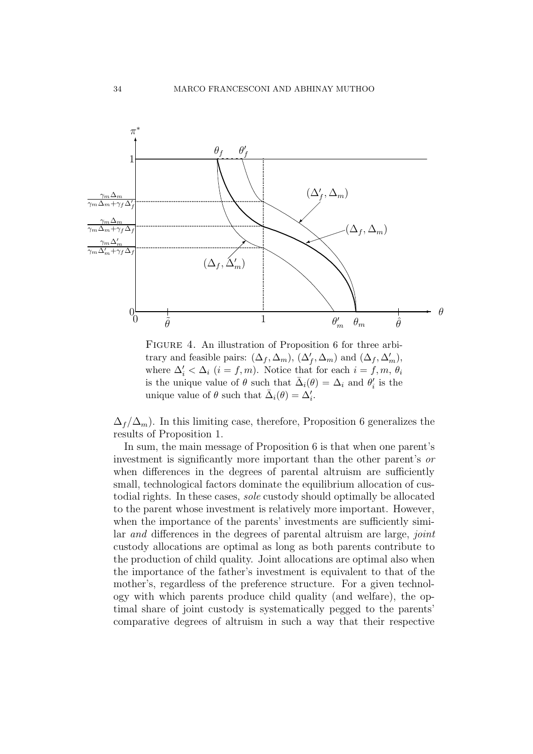

FIGURE 4. An illustration of Proposition 6 for three arbitrary and feasible pairs:  $(\Delta_f, \Delta_m)$ ,  $(\Delta'_f, \Delta_m)$  and  $(\Delta_f, \Delta'_m)$ , where  $\Delta_i' < \Delta_i$  (*i* = *f*,*m*). Notice that for each *i* = *f*,*m*,  $\theta_i$ is the unique value of  $\theta$  such that  $\bar{\Delta}_i(\theta) = \Delta_i$  and  $\theta'_i$  is the unique value of  $\theta$  such that  $\bar{\Delta}_i(\theta) = \Delta'_i$ .

 $\Delta_f/\Delta_m$ ). In this limiting case, therefore, Proposition 6 generalizes the results of Proposition 1.

In sum, the main message of Proposition 6 is that when one parent's investment is significantly more important than the other parent's or when differences in the degrees of parental altruism are sufficiently small, technological factors dominate the equilibrium allocation of custodial rights. In these cases, sole custody should optimally be allocated to the parent whose investment is relatively more important. However, when the importance of the parents' investments are sufficiently similar and differences in the degrees of parental altruism are large, *joint* custody allocations are optimal as long as both parents contribute to the production of child quality. Joint allocations are optimal also when the importance of the father's investment is equivalent to that of the mother's, regardless of the preference structure. For a given technology with which parents produce child quality (and welfare), the optimal share of joint custody is systematically pegged to the parents' comparative degrees of altruism in such a way that their respective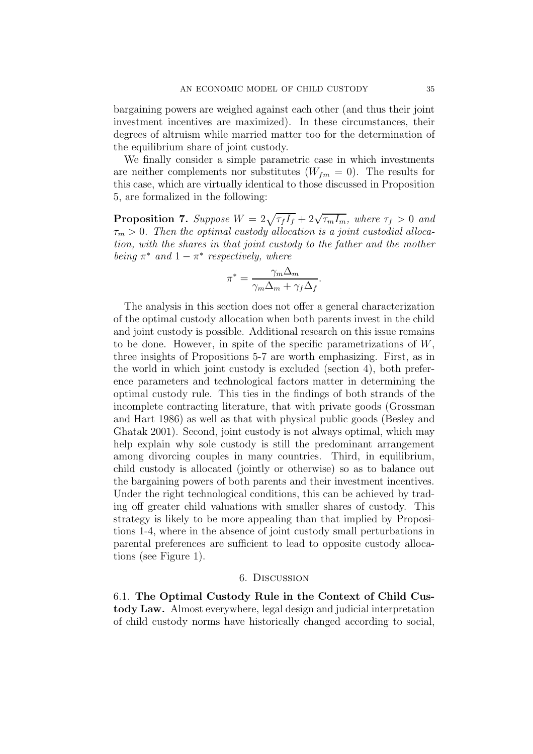bargaining powers are weighed against each other (and thus their joint investment incentives are maximized). In these circumstances, their degrees of altruism while married matter too for the determination of the equilibrium share of joint custody.

We finally consider a simple parametric case in which investments are neither complements nor substitutes  $(W_{fm} = 0)$ . The results for this case, which are virtually identical to those discussed in Proposition 5, are formalized in the following:

**Proposition 7.** Suppose  $W = 2\sqrt{\tau_f I_f} + 2\sqrt{\tau_m I_m}$ , where  $\tau_f > 0$  and  $\tau_m > 0$ . Then the optimal custody allocation is a joint custodial allocation, with the shares in that joint custody to the father and the mother being  $\pi^*$  and  $1 - \pi^*$  respectively, where

$$
\pi^* = \frac{\gamma_m \Delta_m}{\gamma_m \Delta_m + \gamma_f \Delta_f}.
$$

The analysis in this section does not offer a general characterization of the optimal custody allocation when both parents invest in the child and joint custody is possible. Additional research on this issue remains to be done. However, in spite of the specific parametrizations of  $W$ , three insights of Propositions 5-7 are worth emphasizing. First, as in the world in which joint custody is excluded (section 4), both preference parameters and technological factors matter in determining the optimal custody rule. This ties in the findings of both strands of the incomplete contracting literature, that with private goods (Grossman and Hart 1986) as well as that with physical public goods (Besley and Ghatak 2001). Second, joint custody is not always optimal, which may help explain why sole custody is still the predominant arrangement among divorcing couples in many countries. Third, in equilibrium, child custody is allocated (jointly or otherwise) so as to balance out the bargaining powers of both parents and their investment incentives. Under the right technological conditions, this can be achieved by trading off greater child valuations with smaller shares of custody. This strategy is likely to be more appealing than that implied by Propositions 1-4, where in the absence of joint custody small perturbations in parental preferences are sufficient to lead to opposite custody allocations (see Figure 1).

#### 6. Discussion

6.1. **The Optimal Custody Rule in the Context of Child Custody Law.** Almost everywhere, legal design and judicial interpretation of child custody norms have historically changed according to social,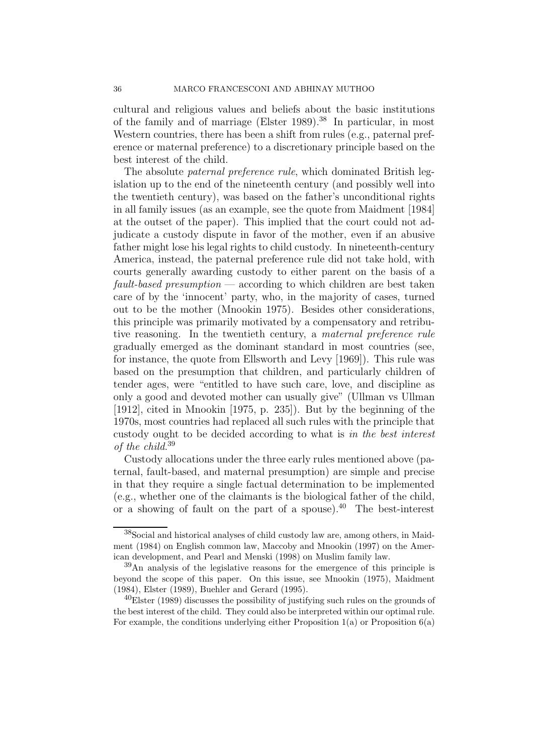cultural and religious values and beliefs about the basic institutions of the family and of marriage (Elster 1989).<sup>38</sup> In particular, in most Western countries, there has been a shift from rules (e.g., paternal preference or maternal preference) to a discretionary principle based on the best interest of the child.

The absolute *paternal preference rule*, which dominated British legislation up to the end of the nineteenth century (and possibly well into the twentieth century), was based on the father's unconditional rights in all family issues (as an example, see the quote from Maidment [1984] at the outset of the paper). This implied that the court could not adjudicate a custody dispute in favor of the mother, even if an abusive father might lose his legal rights to child custody. In nineteenth-century America, instead, the paternal preference rule did not take hold, with courts generally awarding custody to either parent on the basis of a  $fault-based \textit{presumption} \longrightarrow \text{according to which children are best taken}$ care of by the 'innocent' party, who, in the majority of cases, turned out to be the mother (Mnookin 1975). Besides other considerations, this principle was primarily motivated by a compensatory and retributive reasoning. In the twentieth century, a maternal preference rule gradually emerged as the dominant standard in most countries (see, for instance, the quote from Ellsworth and Levy [1969]). This rule was based on the presumption that children, and particularly children of tender ages, were "entitled to have such care, love, and discipline as only a good and devoted mother can usually give" (Ullman vs Ullman [1912], cited in Mnookin [1975, p. 235]). But by the beginning of the 1970s, most countries had replaced all such rules with the principle that custody ought to be decided according to what is in the best interest of the child. 39

Custody allocations under the three early rules mentioned above (paternal, fault-based, and maternal presumption) are simple and precise in that they require a single factual determination to be implemented (e.g., whether one of the claimants is the biological father of the child, or a showing of fault on the part of a spouse).<sup>40</sup> The best-interest

<sup>38</sup>Social and historical analyses of child custody law are, among others, in Maidment (1984) on English common law, Maccoby and Mnookin (1997) on the American development, and Pearl and Menski (1998) on Muslim family law.

 $39$ An analysis of the legislative reasons for the emergence of this principle is beyond the scope of this paper. On this issue, see Mnookin (1975), Maidment (1984), Elster (1989), Buehler and Gerard (1995).

 $^{40}$ Elster (1989) discusses the possibility of justifying such rules on the grounds of the best interest of the child. They could also be interpreted within our optimal rule. For example, the conditions underlying either Proposition  $1(a)$  or Proposition  $6(a)$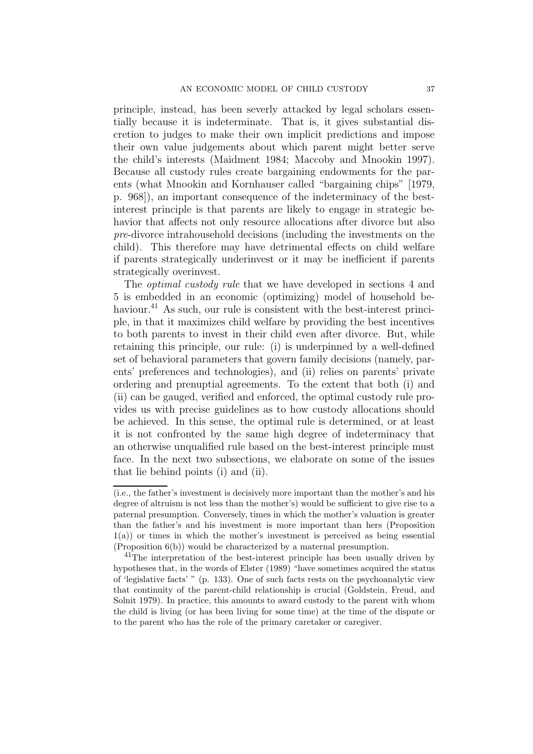principle, instead, has been severly attacked by legal scholars essentially because it is indeterminate. That is, it gives substantial discretion to judges to make their own implicit predictions and impose their own value judgements about which parent might better serve the child's interests (Maidment 1984; Maccoby and Mnookin 1997). Because all custody rules create bargaining endowments for the parents (what Mnookin and Kornhauser called "bargaining chips" [1979, p. 968]), an important consequence of the indeterminacy of the bestinterest principle is that parents are likely to engage in strategic behavior that affects not only resource allocations after divorce but also pre-divorce intrahousehold decisions (including the investments on the child). This therefore may have detrimental effects on child welfare if parents strategically underinvest or it may be inefficient if parents strategically overinvest.

The *optimal custody rule* that we have developed in sections 4 and 5 is embedded in an economic (optimizing) model of household behaviour.<sup>41</sup> As such, our rule is consistent with the best-interest principle, in that it maximizes child welfare by providing the best incentives to both parents to invest in their child even after divorce. But, while retaining this principle, our rule: (i) is underpinned by a well-defined set of behavioral parameters that govern family decisions (namely, parents' preferences and technologies), and (ii) relies on parents' private ordering and prenuptial agreements. To the extent that both (i) and (ii) can be gauged, verified and enforced, the optimal custody rule provides us with precise guidelines as to how custody allocations should be achieved. In this sense, the optimal rule is determined, or at least it is not confronted by the same high degree of indeterminacy that an otherwise unqualified rule based on the best-interest principle must face. In the next two subsections, we elaborate on some of the issues that lie behind points (i) and (ii).

<sup>(</sup>i.e., the father's investment is decisively more important than the mother's and his degree of altruism is not less than the mother's) would be sufficient to give rise to a paternal presumption. Conversely, times in which the mother's valuation is greater than the father's and his investment is more important than hers (Proposition 1(a)) or times in which the mother's investment is perceived as being essential (Proposition 6(b)) would be characterized by a maternal presumption.

 $^{41}$ The interpretation of the best-interest principle has been usually driven by hypotheses that, in the words of Elster (1989) "have sometimes acquired the status of 'legislative facts' " (p. 133). One of such facts rests on the psychoanalytic view that continuity of the parent-child relationship is crucial (Goldstein, Freud, and Solnit 1979). In practice, this amounts to award custody to the parent with whom the child is living (or has been living for some time) at the time of the dispute or to the parent who has the role of the primary caretaker or caregiver.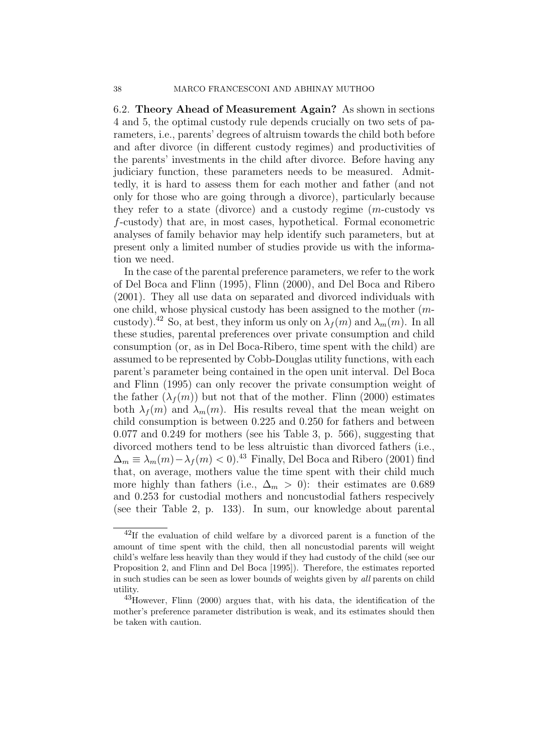6.2. **Theory Ahead of Measurement Again?** As shown in sections 4 and 5, the optimal custody rule depends crucially on two sets of parameters, i.e., parents' degrees of altruism towards the child both before and after divorce (in different custody regimes) and productivities of the parents' investments in the child after divorce. Before having any judiciary function, these parameters needs to be measured. Admittedly, it is hard to assess them for each mother and father (and not only for those who are going through a divorce), particularly because they refer to a state (divorce) and a custody regime (m-custody vs f-custody) that are, in most cases, hypothetical. Formal econometric analyses of family behavior may help identify such parameters, but at present only a limited number of studies provide us with the information we need.

In the case of the parental preference parameters, we refer to the work of Del Boca and Flinn (1995), Flinn (2000), and Del Boca and Ribero (2001). They all use data on separated and divorced individuals with one child, whose physical custody has been assigned to the mother (mcustody).<sup>42</sup> So, at best, they inform us only on  $\lambda_f(m)$  and  $\lambda_m(m)$ . In all these studies, parental preferences over private consumption and child consumption (or, as in Del Boca-Ribero, time spent with the child) are assumed to be represented by Cobb-Douglas utility functions, with each parent's parameter being contained in the open unit interval. Del Boca and Flinn (1995) can only recover the private consumption weight of the father  $(\lambda_f(m))$  but not that of the mother. Flinn (2000) estimates both  $\lambda_f(m)$  and  $\lambda_m(m)$ . His results reveal that the mean weight on child consumption is between 0.225 and 0.250 for fathers and between 0.077 and 0.249 for mothers (see his Table 3, p. 566), suggesting that divorced mothers tend to be less altruistic than divorced fathers (i.e.,  $\Delta_m \equiv \lambda_m(m) - \lambda_f(m) < 0$ <sup>43</sup> Finally, Del Boca and Ribero (2001) find that, on average, mothers value the time spent with their child much more highly than fathers (i.e.,  $\Delta_m > 0$ ): their estimates are 0.689 and 0.253 for custodial mothers and noncustodial fathers respecively (see their Table 2, p. 133). In sum, our knowledge about parental

 $^{42}$ If the evaluation of child welfare by a divorced parent is a function of the amount of time spent with the child, then all noncustodial parents will weight child's welfare less heavily than they would if they had custody of the child (see our Proposition 2, and Flinn and Del Boca [1995]). Therefore, the estimates reported in such studies can be seen as lower bounds of weights given by *all* parents on child utility.

 $^{43}$ However, Flinn (2000) argues that, with his data, the identification of the mother's preference parameter distribution is weak, and its estimates should then be taken with caution.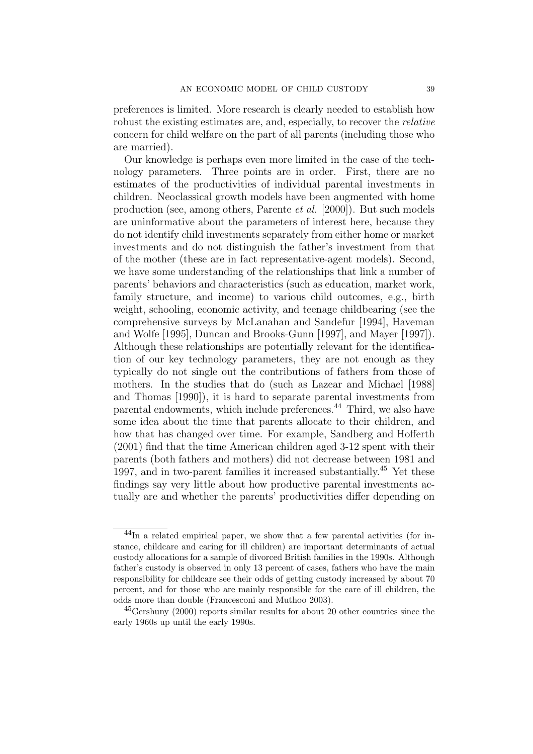preferences is limited. More research is clearly needed to establish how robust the existing estimates are, and, especially, to recover the relative concern for child welfare on the part of all parents (including those who are married).

Our knowledge is perhaps even more limited in the case of the technology parameters. Three points are in order. First, there are no estimates of the productivities of individual parental investments in children. Neoclassical growth models have been augmented with home production (see, among others, Parente et al. [2000]). But such models are uninformative about the parameters of interest here, because they do not identify child investments separately from either home or market investments and do not distinguish the father's investment from that of the mother (these are in fact representative-agent models). Second, we have some understanding of the relationships that link a number of parents' behaviors and characteristics (such as education, market work, family structure, and income) to various child outcomes, e.g., birth weight, schooling, economic activity, and teenage childbearing (see the comprehensive surveys by McLanahan and Sandefur [1994], Haveman and Wolfe [1995], Duncan and Brooks-Gunn [1997], and Mayer [1997]). Although these relationships are potentially relevant for the identification of our key technology parameters, they are not enough as they typically do not single out the contributions of fathers from those of mothers. In the studies that do (such as Lazear and Michael [1988] and Thomas [1990]), it is hard to separate parental investments from parental endowments, which include preferences.<sup>44</sup> Third, we also have some idea about the time that parents allocate to their children, and how that has changed over time. For example, Sandberg and Hofferth (2001) find that the time American children aged 3-12 spent with their parents (both fathers and mothers) did not decrease between 1981 and 1997, and in two-parent families it increased substantially.<sup>45</sup> Yet these findings say very little about how productive parental investments actually are and whether the parents' productivities differ depending on

<sup>44</sup>In a related empirical paper, we show that a few parental activities (for instance, childcare and caring for ill children) are important determinants of actual custody allocations for a sample of divorced British families in the 1990s. Although father's custody is observed in only 13 percent of cases, fathers who have the main responsibility for childcare see their odds of getting custody increased by about 70 percent, and for those who are mainly responsible for the care of ill children, the odds more than double (Francesconi and Muthoo 2003).

 $^{45}$ Gershuny (2000) reports similar results for about 20 other countries since the early 1960s up until the early 1990s.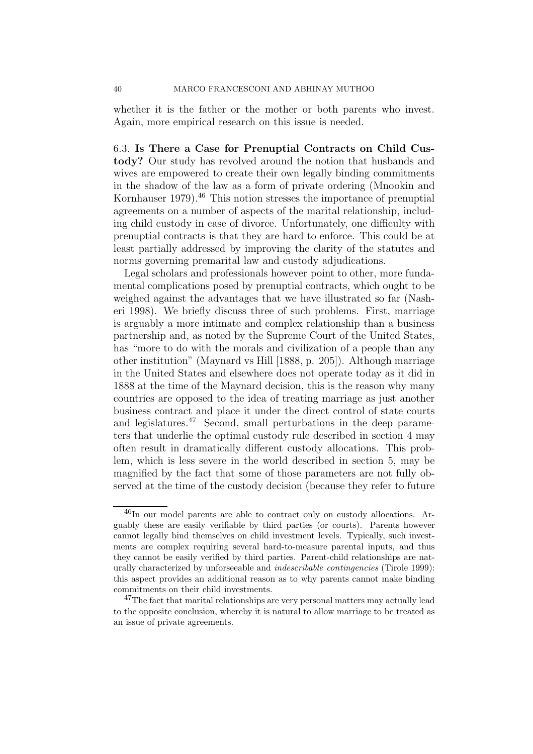whether it is the father or the mother or both parents who invest. Again, more empirical research on this issue is needed.

6.3. **Is There a Case for Prenuptial Contracts on Child Custody?** Our study has revolved around the notion that husbands and wives are empowered to create their own legally binding commitments in the shadow of the law as a form of private ordering (Mnookin and Kornhauser 1979).<sup>46</sup> This notion stresses the importance of prenuptial agreements on a number of aspects of the marital relationship, including child custody in case of divorce. Unfortunately, one difficulty with prenuptial contracts is that they are hard to enforce. This could be at least partially addressed by improving the clarity of the statutes and norms governing premarital law and custody adjudications.

Legal scholars and professionals however point to other, more fundamental complications posed by prenuptial contracts, which ought to be weighed against the advantages that we have illustrated so far (Nasheri 1998). We briefly discuss three of such problems. First, marriage is arguably a more intimate and complex relationship than a business partnership and, as noted by the Supreme Court of the United States, has "more to do with the morals and civilization of a people than any other institution" (Maynard vs Hill [1888, p. 205]). Although marriage in the United States and elsewhere does not operate today as it did in 1888 at the time of the Maynard decision, this is the reason why many countries are opposed to the idea of treating marriage as just another business contract and place it under the direct control of state courts and legislatures.<sup>47</sup> Second, small perturbations in the deep parameters that underlie the optimal custody rule described in section 4 may often result in dramatically different custody allocations. This problem, which is less severe in the world described in section 5, may be magnified by the fact that some of those parameters are not fully observed at the time of the custody decision (because they refer to future

 $^{46}$ In our model parents are able to contract only on custody allocations. Arguably these are easily verifiable by third parties (or courts). Parents however cannot legally bind themselves on child investment levels. Typically, such investments are complex requiring several hard-to-measure parental inputs, and thus they cannot be easily verified by third parties. Parent-child relationships are naturally characterized by unforseeable and *indescribable contingencies* (Tirole 1999): this aspect provides an additional reason as to why parents cannot make binding commitments on their child investments.

<sup>&</sup>lt;sup>47</sup>The fact that marital relationships are very personal matters may actually lead to the opposite conclusion, whereby it is natural to allow marriage to be treated as an issue of private agreements.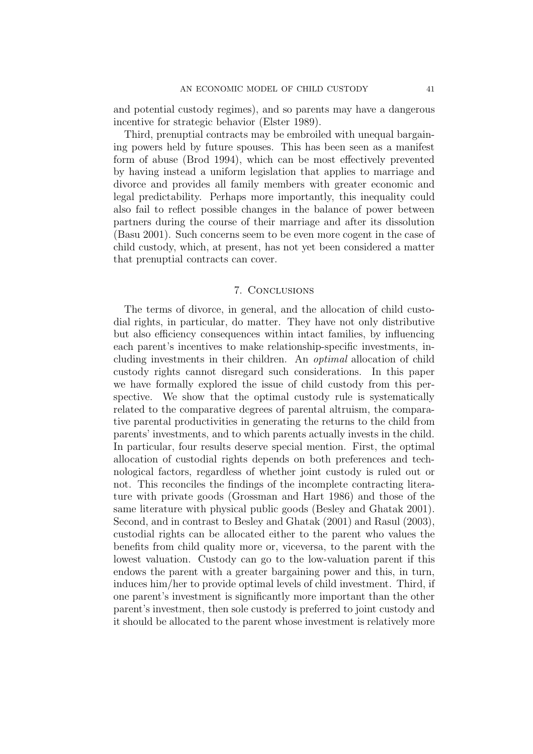and potential custody regimes), and so parents may have a dangerous incentive for strategic behavior (Elster 1989).

Third, prenuptial contracts may be embroiled with unequal bargaining powers held by future spouses. This has been seen as a manifest form of abuse (Brod 1994), which can be most effectively prevented by having instead a uniform legislation that applies to marriage and divorce and provides all family members with greater economic and legal predictability. Perhaps more importantly, this inequality could also fail to reflect possible changes in the balance of power between partners during the course of their marriage and after its dissolution (Basu 2001). Such concerns seem to be even more cogent in the case of child custody, which, at present, has not yet been considered a matter that prenuptial contracts can cover.

#### 7. Conclusions

The terms of divorce, in general, and the allocation of child custodial rights, in particular, do matter. They have not only distributive but also efficiency consequences within intact families, by influencing each parent's incentives to make relationship-specific investments, including investments in their children. An optimal allocation of child custody rights cannot disregard such considerations. In this paper we have formally explored the issue of child custody from this perspective. We show that the optimal custody rule is systematically related to the comparative degrees of parental altruism, the comparative parental productivities in generating the returns to the child from parents' investments, and to which parents actually invests in the child. In particular, four results deserve special mention. First, the optimal allocation of custodial rights depends on both preferences and technological factors, regardless of whether joint custody is ruled out or not. This reconciles the findings of the incomplete contracting literature with private goods (Grossman and Hart 1986) and those of the same literature with physical public goods (Besley and Ghatak 2001). Second, and in contrast to Besley and Ghatak (2001) and Rasul (2003), custodial rights can be allocated either to the parent who values the benefits from child quality more or, viceversa, to the parent with the lowest valuation. Custody can go to the low-valuation parent if this endows the parent with a greater bargaining power and this, in turn, induces him/her to provide optimal levels of child investment. Third, if one parent's investment is significantly more important than the other parent's investment, then sole custody is preferred to joint custody and it should be allocated to the parent whose investment is relatively more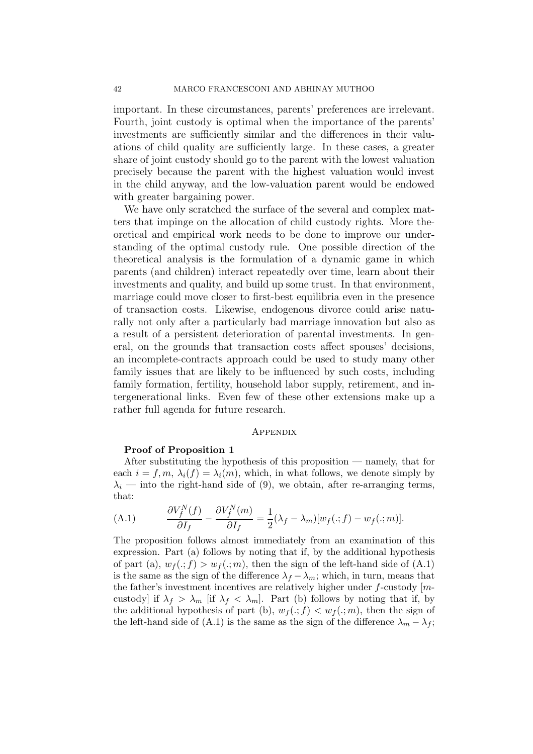important. In these circumstances, parents' preferences are irrelevant. Fourth, joint custody is optimal when the importance of the parents' investments are sufficiently similar and the differences in their valuations of child quality are sufficiently large. In these cases, a greater share of joint custody should go to the parent with the lowest valuation precisely because the parent with the highest valuation would invest in the child anyway, and the low-valuation parent would be endowed with greater bargaining power.

We have only scratched the surface of the several and complex matters that impinge on the allocation of child custody rights. More theoretical and empirical work needs to be done to improve our understanding of the optimal custody rule. One possible direction of the theoretical analysis is the formulation of a dynamic game in which parents (and children) interact repeatedly over time, learn about their investments and quality, and build up some trust. In that environment, marriage could move closer to first-best equilibria even in the presence of transaction costs. Likewise, endogenous divorce could arise naturally not only after a particularly bad marriage innovation but also as a result of a persistent deterioration of parental investments. In general, on the grounds that transaction costs affect spouses' decisions, an incomplete-contracts approach could be used to study many other family issues that are likely to be influenced by such costs, including family formation, fertility, household labor supply, retirement, and intergenerational links. Even few of these other extensions make up a rather full agenda for future research.

#### **APPENDIX**

#### **Proof of Proposition 1**

After substituting the hypothesis of this proposition — namely, that for each  $i = f, m, \lambda_i(f) = \lambda_i(m)$ , which, in what follows, we denote simply by  $\lambda_i$  — into the right-hand side of (9), we obtain, after re-arranging terms, that:

(A.1) 
$$
\frac{\partial V_f^N(f)}{\partial I_f} - \frac{\partial V_f^N(m)}{\partial I_f} = \frac{1}{2} (\lambda_f - \lambda_m) [w_f(:,f) - w_f(:,m)].
$$

The proposition follows almost immediately from an examination of this expression. Part (a) follows by noting that if, by the additional hypothesis of part (a),  $w_f(.; f) > w_f(.; m)$ , then the sign of the left-hand side of (A.1) is the same as the sign of the difference  $\lambda_f - \lambda_m$ ; which, in turn, means that the father's investment incentives are relatively higher under  $f$ -custody [ $m$ custody] if  $\lambda_f > \lambda_m$  [if  $\lambda_f < \lambda_m$ ]. Part (b) follows by noting that if, by the additional hypothesis of part (b),  $w_f(.; f) < w_f(.; m)$ , then the sign of the left-hand side of (A.1) is the same as the sign of the difference  $\lambda_m - \lambda_f$ ;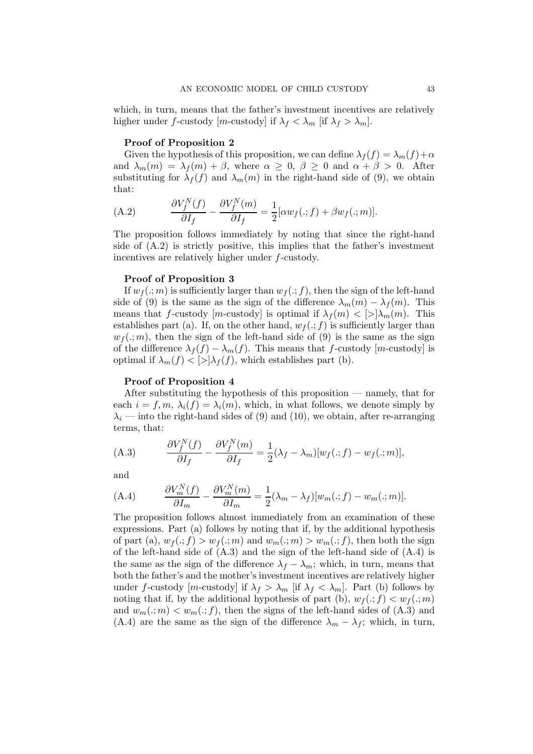which, in turn, means that the father's investment incentives are relatively higher under f-custody  $[m$ -custody] if  $\lambda_f < \lambda_m$  [if  $\lambda_f > \lambda_m$ ].

#### **Proof of Proposition 2**

Given the hypothesis of this proposition, we can define  $\lambda_f(f) = \lambda_m(f) + \alpha$ and  $\lambda_m(m) = \lambda_f(m) + \beta$ , where  $\alpha \geq 0$ ,  $\beta \geq 0$  and  $\alpha + \beta > 0$ . After substituting for  $\lambda_f(f)$  and  $\lambda_m(m)$  in the right-hand side of (9), we obtain that:

(A.2) 
$$
\frac{\partial V_f^N(f)}{\partial I_f} - \frac{\partial V_f^N(m)}{\partial I_f} = \frac{1}{2} [\alpha w_f(:,f) + \beta w_f(:,m)].
$$

The proposition follows immediately by noting that since the right-hand side of (A.2) is strictly positive, this implies that the father's investment incentives are relatively higher under f-custody.

#### **Proof of Proposition 3**

If  $w_f(.; m)$  is sufficiently larger than  $w_f(.; f)$ , then the sign of the left-hand side of (9) is the same as the sign of the difference  $\lambda_m(m) - \lambda_f(m)$ . This means that f-custody  $[m$ -custody is optimal if  $\lambda_f(m)$  <  $|>\lambda_m(m)$ . This establishes part (a). If, on the other hand,  $w_f(.; f)$  is sufficiently larger than  $w_f(.; m)$ , then the sign of the left-hand side of (9) is the same as the sign of the difference  $\lambda_f(f) - \lambda_m(f)$ . This means that f-custody [m-custody] is optimal if  $\lambda_m(f) < |>\lambda_f(f)$ , which establishes part (b).

#### **Proof of Proposition 4**

After substituting the hypothesis of this proposition — namely, that for each  $i = f, m, \lambda_i(f) = \lambda_i(m)$ , which, in what follows, we denote simply by  $\lambda_i$  — into the right-hand sides of (9) and (10), we obtain, after re-arranging terms, that:

(A.3) 
$$
\frac{\partial V_f^N(f)}{\partial I_f} - \frac{\partial V_f^N(m)}{\partial I_f} = \frac{1}{2} (\lambda_f - \lambda_m) [w_f(:,f) - w_f(:,m)],
$$

and

(A.4) 
$$
\frac{\partial V_m^N(f)}{\partial I_m} - \frac{\partial V_m^N(m)}{\partial I_m} = \frac{1}{2} (\lambda_m - \lambda_f) [w_m(:,f) - w_m(:,m)].
$$

The proposition follows almost immediately from an examination of these expressions. Part (a) follows by noting that if, by the additional hypothesis of part (a),  $w_f(.; f) > w_f(.; m)$  and  $w_m(.; m) > w_m(.; f)$ , then both the sign of the left-hand side of  $(A.3)$  and the sign of the left-hand side of  $(A.4)$  is the same as the sign of the difference  $\lambda_f - \lambda_m$ ; which, in turn, means that both the father's and the mother's investment incentives are relatively higher under f-custody [m-custody] if  $\lambda_f > \lambda_m$  [if  $\lambda_f < \lambda_m$ ]. Part (b) follows by noting that if, by the additional hypothesis of part (b),  $w_f(.; f) < w_f(.; m)$ and  $w_m(.; m) < w_m(.; f)$ , then the signs of the left-hand sides of (A.3) and (A.4) are the same as the sign of the difference  $\lambda_m - \lambda_f$ ; which, in turn,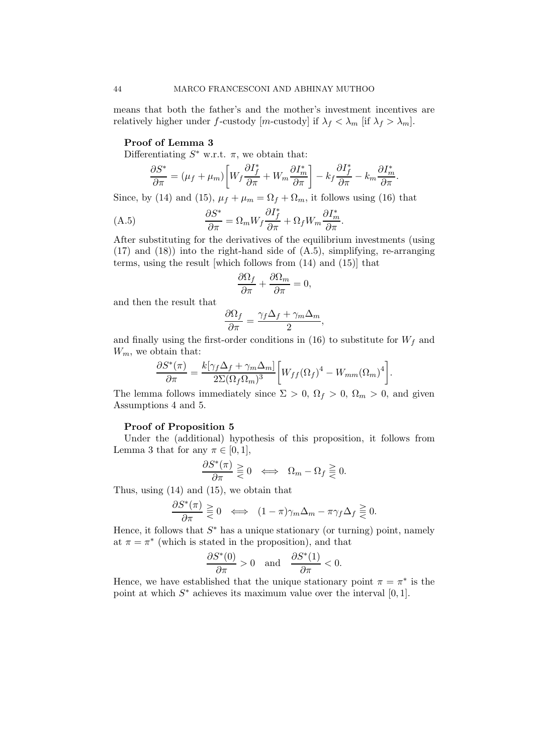means that both the father's and the mother's investment incentives are relatively higher under f-custody  $[m\text{-}{\rm custody}]$  if  $\lambda_f < \lambda_m$  [if  $\lambda_f > \lambda_m$ ].

#### **Proof of Lemma 3**

Differentiating  $S^*$  w.r.t.  $\pi$ , we obtain that:

$$
\frac{\partial S^*}{\partial \pi} = (\mu_f + \mu_m) \bigg[ W_f \frac{\partial I_f^*}{\partial \pi} + W_m \frac{\partial I_m^*}{\partial \pi} \bigg] - k_f \frac{\partial I_f^*}{\partial \pi} - k_m \frac{\partial I_m^*}{\partial \pi}.
$$

Since, by (14) and (15),  $\mu_f + \mu_m = \Omega_f + \Omega_m$ , it follows using (16) that

(A.5) 
$$
\frac{\partial S^*}{\partial \pi} = \Omega_m W_f \frac{\partial I_f^*}{\partial \pi} + \Omega_f W_m \frac{\partial I_m^*}{\partial \pi}.
$$

After substituting for the derivatives of the equilibrium investments (using (17) and (18)) into the right-hand side of (A.5), simplifying, re-arranging terms, using the result [which follows from (14) and (15)] that

$$
\frac{\partial \Omega_f}{\partial \pi} + \frac{\partial \Omega_m}{\partial \pi} = 0,
$$

and then the result that

$$
\frac{\partial \Omega_f}{\partial \pi} = \frac{\gamma_f \Delta_f + \gamma_m \Delta_m}{2},
$$

and finally using the first-order conditions in (16) to substitute for  $W_f$  and  $W_m$ , we obtain that:

$$
\frac{\partial S^*(\pi)}{\partial \pi} = \frac{k[\gamma_f \Delta_f + \gamma_m \Delta_m]}{2\Sigma (\Omega_f \Omega_m)^3} \bigg[ W_{ff} (\Omega_f)^4 - W_{mm} (\Omega_m)^4 \bigg].
$$

The lemma follows immediately since  $\Sigma > 0$ ,  $\Omega_f > 0$ ,  $\Omega_m > 0$ , and given Assumptions 4 and 5.

#### **Proof of Proposition 5**

Under the (additional) hypothesis of this proposition, it follows from Lemma 3 that for any  $\pi \in [0,1],$ 

$$
\frac{\partial S^*(\pi)}{\partial \pi} \geq 0 \iff \Omega_m - \Omega_f \geq 0.
$$

Thus, using (14) and (15), we obtain that

$$
\frac{\partial S^*(\pi)}{\partial \pi} \geq 0 \iff (1 - \pi) \gamma_m \Delta_m - \pi \gamma_f \Delta_f \geq 0.
$$

Hence, it follows that  $S^*$  has a unique stationary (or turning) point, namely at  $\pi = \pi^*$  (which is stated in the proposition), and that

$$
\frac{\partial S^*(0)}{\partial \pi} > 0 \quad \text{and} \quad \frac{\partial S^*(1)}{\partial \pi} < 0.
$$

Hence, we have established that the unique stationary point  $\pi = \pi^*$  is the point at which  $S^*$  achieves its maximum value over the interval [0, 1].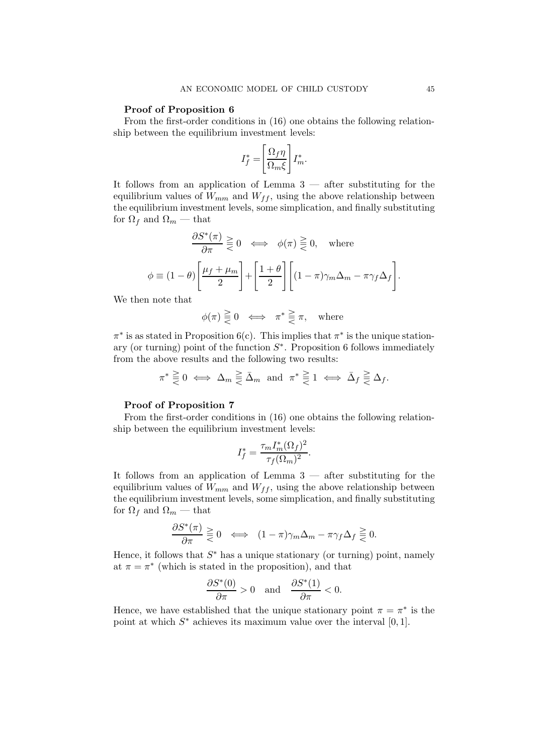#### **Proof of Proposition 6**

From the first-order conditions in (16) one obtains the following relationship between the equilibrium investment levels:

$$
I_f^* = \left[\frac{\Omega_f \eta}{\Omega_m \xi}\right] I_m^*.
$$

It follows from an application of Lemma  $3$  — after substituting for the equilibrium values of  $W_{mm}$  and  $W_{ff}$ , using the above relationship between the equilibrium investment levels, some simplication, and finally substituting for  $\Omega_f$  and  $\Omega_m$  — that

$$
\frac{\partial S^*(\pi)}{\partial \pi} \geq 0 \iff \phi(\pi) \geq 0, \text{ where}
$$

$$
\phi \equiv (1 - \theta) \left[ \frac{\mu_f + \mu_m}{2} \right] + \left[ \frac{1 + \theta}{2} \right] \left[ (1 - \pi) \gamma_m \Delta_m - \pi \gamma_f \Delta_f \right].
$$

We then note that

$$
\phi(\pi) \gtreqqless 0 \iff \pi^* \gtreqqless \pi, \quad \text{where}
$$

 $\pi^*$  is as stated in Proposition 6(c). This implies that  $\pi^*$  is the unique stationary (or turning) point of the function  $S^*$ . Proposition 6 follows immediately from the above results and the following two results:

$$
\pi^* \geq 0 \iff \Delta_m \geq \bar{\Delta}_m \text{ and } \pi^* \geq 1 \iff \bar{\Delta}_f \geq \Delta_f.
$$

#### **Proof of Proposition 7**

From the first-order conditions in (16) one obtains the following relationship between the equilibrium investment levels:

$$
I_f^* = \frac{\tau_m I_m^*(\Omega_f)^2}{\tau_f(\Omega_m)^2}.
$$

It follows from an application of Lemma 3 — after substituting for the equilibrium values of  $W_{mm}$  and  $W_{ff}$ , using the above relationship between the equilibrium investment levels, some simplication, and finally substituting for  $\Omega_f$  and  $\Omega_m$  — that

$$
\frac{\partial S^*(\pi)}{\partial \pi} \geq 0 \iff (1 - \pi)\gamma_m \Delta_m - \pi \gamma_f \Delta_f \geq 0.
$$

Hence, it follows that  $S^*$  has a unique stationary (or turning) point, namely at  $\pi = \pi^*$  (which is stated in the proposition), and that

$$
\frac{\partial S^*(0)}{\partial \pi} > 0 \quad \text{and} \quad \frac{\partial S^*(1)}{\partial \pi} < 0.
$$

Hence, we have established that the unique stationary point  $\pi = \pi^*$  is the point at which  $S^*$  achieves its maximum value over the interval [0, 1].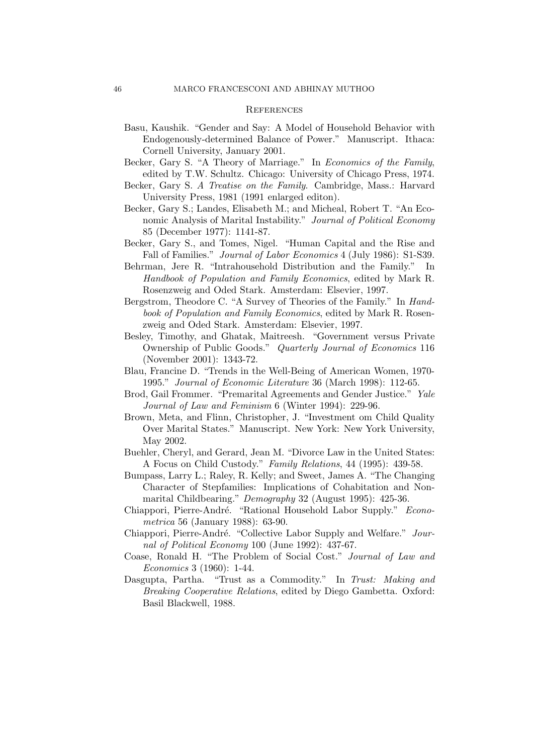#### **REFERENCES**

- Basu, Kaushik. "Gender and Say: A Model of Household Behavior with Endogenously-determined Balance of Power." Manuscript. Ithaca: Cornell University, January 2001.
- Becker, Gary S. "A Theory of Marriage." In *Economics of the Family*, edited by T.W. Schultz. Chicago: University of Chicago Press, 1974.
- Becker, Gary S. *A Treatise on the Family*. Cambridge, Mass.: Harvard University Press, 1981 (1991 enlarged editon).
- Becker, Gary S.; Landes, Elisabeth M.; and Micheal, Robert T. "An Economic Analysis of Marital Instability." *Journal of Political Economy* 85 (December 1977): 1141-87.
- Becker, Gary S., and Tomes, Nigel. "Human Capital and the Rise and Fall of Families." *Journal of Labor Economics* 4 (July 1986): S1-S39.
- Behrman, Jere R. "Intrahousehold Distribution and the Family." In *Handbook of Population and Family Economics*, edited by Mark R. Rosenzweig and Oded Stark. Amsterdam: Elsevier, 1997.
- Bergstrom, Theodore C. "A Survey of Theories of the Family." In *Handbook of Population and Family Economics*, edited by Mark R. Rosenzweig and Oded Stark. Amsterdam: Elsevier, 1997.
- Besley, Timothy, and Ghatak, Maitreesh. "Government versus Private Ownership of Public Goods." *Quarterly Journal of Economics* 116 (November 2001): 1343-72.
- Blau, Francine D. "Trends in the Well-Being of American Women, 1970- 1995." *Journal of Economic Literature* 36 (March 1998): 112-65.
- Brod, Gail Frommer. "Premarital Agreements and Gender Justice." *Yale Journal of Law and Feminism* 6 (Winter 1994): 229-96.
- Brown, Meta, and Flinn, Christopher, J. "Investment om Child Quality Over Marital States." Manuscript. New York: New York University, May 2002.
- Buehler, Cheryl, and Gerard, Jean M. "Divorce Law in the United States: A Focus on Child Custody." *Family Relations*, 44 (1995): 439-58.
- Bumpass, Larry L.; Raley, R. Kelly; and Sweet, James A. "The Changing Character of Stepfamilies: Implications of Cohabitation and Nonmarital Childbearing." *Demography* 32 (August 1995): 425-36.
- Chiappori, Pierre-André. "Rational Household Labor Supply." *Econometrica* 56 (January 1988): 63-90.
- Chiappori, Pierre-André. "Collective Labor Supply and Welfare." *Journal of Political Economy* 100 (June 1992): 437-67.
- Coase, Ronald H. "The Problem of Social Cost." *Journal of Law and Economics* 3 (1960): 1-44.
- Dasgupta, Partha. "Trust as a Commodity." In *Trust: Making and Breaking Cooperative Relations*, edited by Diego Gambetta. Oxford: Basil Blackwell, 1988.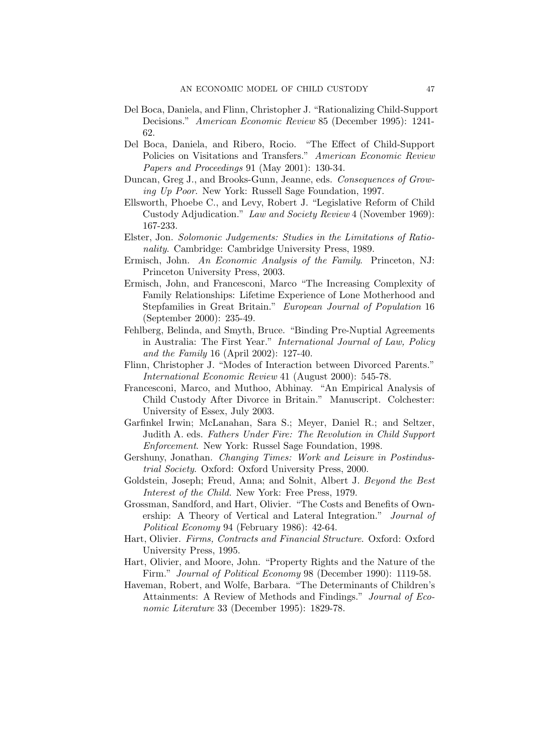- Del Boca, Daniela, and Flinn, Christopher J. "Rationalizing Child-Support Decisions." *American Economic Review* 85 (December 1995): 1241- 62.
- Del Boca, Daniela, and Ribero, Rocio. "The Effect of Child-Support Policies on Visitations and Transfers." *American Economic Review Papers and Proceedings* 91 (May 2001): 130-34.
- Duncan, Greg J., and Brooks-Gunn, Jeanne, eds. *Consequences of Growing Up Poor*. New York: Russell Sage Foundation, 1997.
- Ellsworth, Phoebe C., and Levy, Robert J. "Legislative Reform of Child Custody Adjudication." *Law and Society Review* 4 (November 1969): 167-233.
- Elster, Jon. *Solomonic Judgements: Studies in the Limitations of Rationality*. Cambridge: Cambridge University Press, 1989.
- Ermisch, John. *An Economic Analysis of the Family*. Princeton, NJ: Princeton University Press, 2003.
- Ermisch, John, and Francesconi, Marco "The Increasing Complexity of Family Relationships: Lifetime Experience of Lone Motherhood and Stepfamilies in Great Britain." *European Journal of Population* 16 (September 2000): 235-49.
- Fehlberg, Belinda, and Smyth, Bruce. "Binding Pre-Nuptial Agreements in Australia: The First Year." *International Journal of Law, Policy and the Family* 16 (April 2002): 127-40.
- Flinn, Christopher J. "Modes of Interaction between Divorced Parents." *International Economic Review* 41 (August 2000): 545-78.
- Francesconi, Marco, and Muthoo, Abhinay. "An Empirical Analysis of Child Custody After Divorce in Britain." Manuscript. Colchester: University of Essex, July 2003.
- Garfinkel Irwin; McLanahan, Sara S.; Meyer, Daniel R.; and Seltzer, Judith A. eds. *Fathers Under Fire: The Revolution in Child Support Enforcement*. New York: Russel Sage Foundation, 1998.
- Gershuny, Jonathan. *Changing Times: Work and Leisure in Postindustrial Society*. Oxford: Oxford University Press, 2000.
- Goldstein, Joseph; Freud, Anna; and Solnit, Albert J. *Beyond the Best Interest of the Child.* New York: Free Press, 1979.
- Grossman, Sandford, and Hart, Olivier. "The Costs and Benefits of Ownership: A Theory of Vertical and Lateral Integration." *Journal of Political Economy* 94 (February 1986): 42-64.
- Hart, Olivier. *Firms, Contracts and Financial Structure*. Oxford: Oxford University Press, 1995.
- Hart, Olivier, and Moore, John. "Property Rights and the Nature of the Firm." *Journal of Political Economy* 98 (December 1990): 1119-58.
- Haveman, Robert, and Wolfe, Barbara. "The Determinants of Children's Attainments: A Review of Methods and Findings." *Journal of Economic Literature* 33 (December 1995): 1829-78.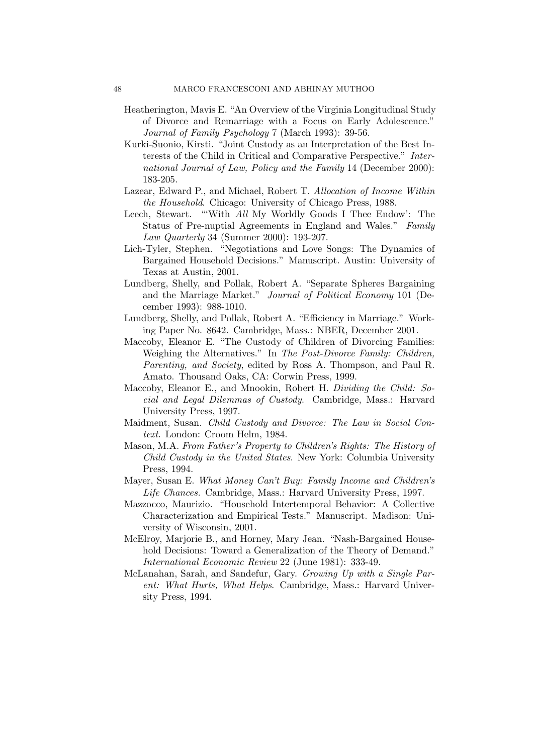- Heatherington, Mavis E. "An Overview of the Virginia Longitudinal Study of Divorce and Remarriage with a Focus on Early Adolescence." *Journal of Family Psychology* 7 (March 1993): 39-56.
- Kurki-Suonio, Kirsti. "Joint Custody as an Interpretation of the Best Interests of the Child in Critical and Comparative Perspective." *International Journal of Law, Policy and the Family* 14 (December 2000): 183-205.
- Lazear, Edward P., and Michael, Robert T. *Allocation of Income Within the Household*. Chicago: University of Chicago Press, 1988.
- Leech, Stewart. "'With *All* My Worldly Goods I Thee Endow': The Status of Pre-nuptial Agreements in England and Wales." *Family Law Quarterly* 34 (Summer 2000): 193-207.
- Lich-Tyler, Stephen. "Negotiations and Love Songs: The Dynamics of Bargained Household Decisions." Manuscript. Austin: University of Texas at Austin, 2001.
- Lundberg, Shelly, and Pollak, Robert A. "Separate Spheres Bargaining and the Marriage Market." *Journal of Political Economy* 101 (December 1993): 988-1010.
- Lundberg, Shelly, and Pollak, Robert A. "Efficiency in Marriage." Working Paper No. 8642. Cambridge, Mass.: NBER, December 2001.
- Maccoby, Eleanor E. "The Custody of Children of Divorcing Families: Weighing the Alternatives." In *The Post-Divorce Family: Children, Parenting, and Society*, edited by Ross A. Thompson, and Paul R. Amato. Thousand Oaks, CA: Corwin Press, 1999.
- Maccoby, Eleanor E., and Mnookin, Robert H. *Dividing the Child: Social and Legal Dilemmas of Custody*. Cambridge, Mass.: Harvard University Press, 1997.
- Maidment, Susan. *Child Custody and Divorce: The Law in Social Context*. London: Croom Helm, 1984.
- Mason, M.A. *From Father's Property to Children's Rights: The History of Child Custody in the United States*. New York: Columbia University Press, 1994.
- Mayer, Susan E. *What Money Can't Buy: Family Income and Children's Life Chances.* Cambridge, Mass.: Harvard University Press, 1997.
- Mazzocco, Maurizio. "Household Intertemporal Behavior: A Collective Characterization and Empirical Tests." Manuscript. Madison: University of Wisconsin, 2001.
- McElroy, Marjorie B., and Horney, Mary Jean. "Nash-Bargained Household Decisions: Toward a Generalization of the Theory of Demand." *International Economic Review* 22 (June 1981): 333-49.
- McLanahan, Sarah, and Sandefur, Gary. *Growing Up with a Single Parent: What Hurts, What Helps*. Cambridge, Mass.: Harvard University Press, 1994.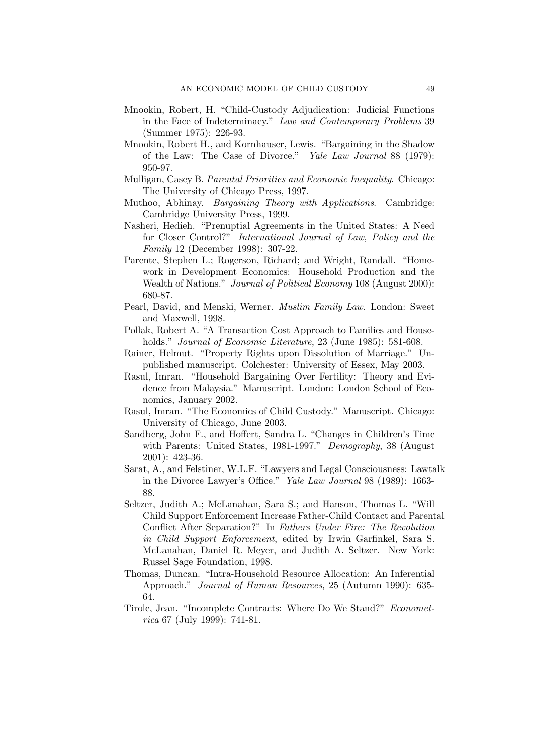- Mnookin, Robert, H. "Child-Custody Adjudication: Judicial Functions in the Face of Indeterminacy." *Law and Contemporary Problems* 39 (Summer 1975): 226-93.
- Mnookin, Robert H., and Kornhauser, Lewis. "Bargaining in the Shadow of the Law: The Case of Divorce." *Yale Law Journal* 88 (1979): 950-97.
- Mulligan, Casey B. *Parental Priorities and Economic Inequality*. Chicago: The University of Chicago Press, 1997.
- Muthoo, Abhinay. *Bargaining Theory with Applications*. Cambridge: Cambridge University Press, 1999.
- Nasheri, Hedieh. "Prenuptial Agreements in the United States: A Need for Closer Control?" *International Journal of Law, Policy and the Family* 12 (December 1998): 307-22.
- Parente, Stephen L.; Rogerson, Richard; and Wright, Randall. "Homework in Development Economics: Household Production and the Wealth of Nations." *Journal of Political Economy* 108 (August 2000): 680-87.
- Pearl, David, and Menski, Werner. *Muslim Family Law*. London: Sweet and Maxwell, 1998.
- Pollak, Robert A. "A Transaction Cost Approach to Families and Households." *Journal of Economic Literature*, 23 (June 1985): 581-608.
- Rainer, Helmut. "Property Rights upon Dissolution of Marriage." Unpublished manuscript. Colchester: University of Essex, May 2003.
- Rasul, Imran. "Household Bargaining Over Fertility: Theory and Evidence from Malaysia." Manuscript. London: London School of Economics, January 2002.
- Rasul, Imran. "The Economics of Child Custody." Manuscript. Chicago: University of Chicago, June 2003.
- Sandberg, John F., and Hoffert, Sandra L. "Changes in Children's Time with Parents: United States, 1981-1997." *Demography*, 38 (August 2001): 423-36.
- Sarat, A., and Felstiner, W.L.F. "Lawyers and Legal Consciousness: Lawtalk in the Divorce Lawyer's Office." *Yale Law Journal* 98 (1989): 1663- 88.
- Seltzer, Judith A.; McLanahan, Sara S.; and Hanson, Thomas L. "Will Child Support Enforcement Increase Father-Child Contact and Parental Conflict After Separation?" In *Fathers Under Fire: The Revolution in Child Support Enforcement*, edited by Irwin Garfinkel, Sara S. McLanahan, Daniel R. Meyer, and Judith A. Seltzer. New York: Russel Sage Foundation, 1998.
- Thomas, Duncan. "Intra-Household Resource Allocation: An Inferential Approach." *Journal of Human Resources*, 25 (Autumn 1990): 635- 64.
- Tirole, Jean. "Incomplete Contracts: Where Do We Stand?" *Econometrica* 67 (July 1999): 741-81.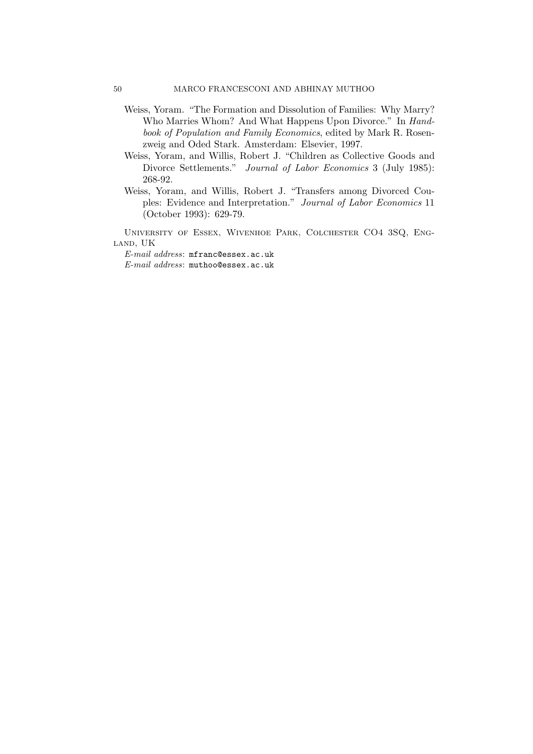- Weiss, Yoram. "The Formation and Dissolution of Families: Why Marry? Who Marries Whom? And What Happens Upon Divorce." In *Handbook of Population and Family Economics*, edited by Mark R. Rosenzweig and Oded Stark. Amsterdam: Elsevier, 1997.
- Weiss, Yoram, and Willis, Robert J. "Children as Collective Goods and Divorce Settlements." *Journal of Labor Economics* 3 (July 1985): 268-92.
- Weiss, Yoram, and Willis, Robert J. "Transfers among Divorced Couples: Evidence and Interpretation." *Journal of Labor Economics* 11 (October 1993): 629-79.

University of Essex, Wivenhoe Park, Colchester CO4 3SQ, England, UK

*E-mail address*: mfranc@essex.ac.uk *E-mail address*: muthoo@essex.ac.uk